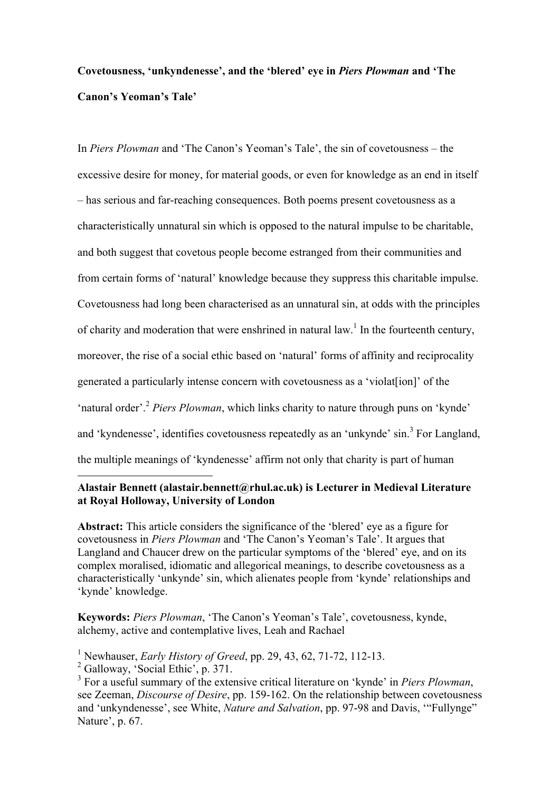# **Covetousness, 'unkyndenesse', and the 'blered' eye in** *Piers Plowman* **and 'The Canon's Yeoman's Tale'**

In *Piers Plowman* and 'The Canon's Yeoman's Tale', the sin of covetousness – the excessive desire for money, for material goods, or even for knowledge as an end in itself – has serious and far-reaching consequences. Both poems present covetousness as a characteristically unnatural sin which is opposed to the natural impulse to be charitable, and both suggest that covetous people become estranged from their communities and from certain forms of 'natural' knowledge because they suppress this charitable impulse. Covetousness had long been characterised as an unnatural sin, at odds with the principles of charity and moderation that were enshrined in natural law.<sup>1</sup> In the fourteenth century, moreover, the rise of a social ethic based on 'natural' forms of affinity and reciprocality generated a particularly intense concern with covetousness as a 'violat[ion]' of the 'natural order'.<sup>2</sup> *Piers Plowman*, which links charity to nature through puns on 'kynde' and 'kyndenesse', identifies covetousness repeatedly as an 'unkynde' sin.<sup>3</sup> For Langland, the multiple meanings of 'kyndenesse' affirm not only that charity is part of human

## $\overline{a}$ **Alastair Bennett (alastair.bennett@rhul.ac.uk) is Lecturer in Medieval Literature at Royal Holloway, University of London**

**Abstract:** This article considers the significance of the 'blered' eye as a figure for covetousness in *Piers Plowman* and 'The Canon's Yeoman's Tale'. It argues that Langland and Chaucer drew on the particular symptoms of the 'blered' eye, and on its complex moralised, idiomatic and allegorical meanings, to describe covetousness as a characteristically 'unkynde' sin, which alienates people from 'kynde' relationships and 'kynde' knowledge.

**Keywords:** *Piers Plowman*, 'The Canon's Yeoman's Tale', covetousness, kynde, alchemy, active and contemplative lives, Leah and Rachael

<sup>1</sup> Newhauser, *Early History of Greed*, pp. 29, 43, 62, 71-72, 112-13.

<sup>&</sup>lt;sup>2</sup> Galloway, 'Social Ethic', p. 371.

<sup>3</sup> For a useful summary of the extensive critical literature on 'kynde' in *Piers Plowman*, see Zeeman, *Discourse of Desire*, pp. 159-162. On the relationship between covetousness and 'unkyndenesse', see White, *Nature and Salvation*, pp. 97-98 and Davis, '"Fullynge" Nature', p. 67.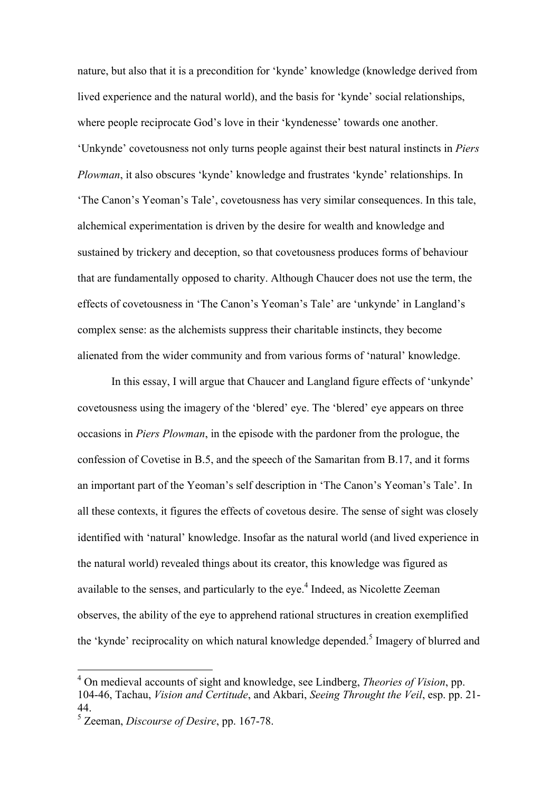nature, but also that it is a precondition for 'kynde' knowledge (knowledge derived from lived experience and the natural world), and the basis for 'kynde' social relationships, where people reciprocate God's love in their 'kyndenesse' towards one another. 'Unkynde' covetousness not only turns people against their best natural instincts in *Piers Plowman*, it also obscures 'kynde' knowledge and frustrates 'kynde' relationships. In 'The Canon's Yeoman's Tale', covetousness has very similar consequences. In this tale, alchemical experimentation is driven by the desire for wealth and knowledge and sustained by trickery and deception, so that covetousness produces forms of behaviour that are fundamentally opposed to charity. Although Chaucer does not use the term, the effects of covetousness in 'The Canon's Yeoman's Tale' are 'unkynde' in Langland's complex sense: as the alchemists suppress their charitable instincts, they become alienated from the wider community and from various forms of 'natural' knowledge.

In this essay, I will argue that Chaucer and Langland figure effects of 'unkynde' covetousness using the imagery of the 'blered' eye. The 'blered' eye appears on three occasions in *Piers Plowman*, in the episode with the pardoner from the prologue, the confession of Covetise in B.5, and the speech of the Samaritan from B.17, and it forms an important part of the Yeoman's self description in 'The Canon's Yeoman's Tale'. In all these contexts, it figures the effects of covetous desire. The sense of sight was closely identified with 'natural' knowledge. Insofar as the natural world (and lived experience in the natural world) revealed things about its creator, this knowledge was figured as available to the senses, and particularly to the eye.<sup>4</sup> Indeed, as Nicolette Zeeman observes, the ability of the eye to apprehend rational structures in creation exemplified the 'kynde' reciprocality on which natural knowledge depended.<sup>5</sup> Imagery of blurred and

 <sup>4</sup> On medieval accounts of sight and knowledge, see Lindberg, *Theories of Vision*, pp. 104-46, Tachau, *Vision and Certitude*, and Akbari, *Seeing Throught the Veil*, esp. pp. 21- 44. 5 Zeeman, *Discourse of Desire*, pp. 167-78.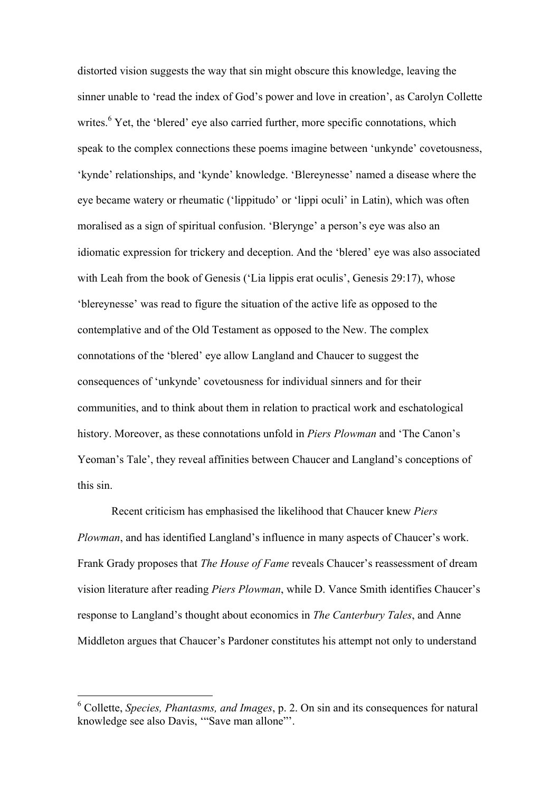distorted vision suggests the way that sin might obscure this knowledge, leaving the sinner unable to 'read the index of God's power and love in creation', as Carolyn Collette writes.<sup>6</sup> Yet, the 'blered' eye also carried further, more specific connotations, which speak to the complex connections these poems imagine between 'unkynde' covetousness, 'kynde' relationships, and 'kynde' knowledge. 'Blereynesse' named a disease where the eye became watery or rheumatic ('lippitudo' or 'lippi oculi' in Latin), which was often moralised as a sign of spiritual confusion. 'Blerynge' a person's eye was also an idiomatic expression for trickery and deception. And the 'blered' eye was also associated with Leah from the book of Genesis ('Lia lippis erat oculis', Genesis 29:17), whose 'blereynesse' was read to figure the situation of the active life as opposed to the contemplative and of the Old Testament as opposed to the New. The complex connotations of the 'blered' eye allow Langland and Chaucer to suggest the consequences of 'unkynde' covetousness for individual sinners and for their communities, and to think about them in relation to practical work and eschatological history. Moreover, as these connotations unfold in *Piers Plowman* and 'The Canon's Yeoman's Tale', they reveal affinities between Chaucer and Langland's conceptions of this sin.

Recent criticism has emphasised the likelihood that Chaucer knew *Piers Plowman*, and has identified Langland's influence in many aspects of Chaucer's work. Frank Grady proposes that *The House of Fame* reveals Chaucer's reassessment of dream vision literature after reading *Piers Plowman*, while D. Vance Smith identifies Chaucer's response to Langland's thought about economics in *The Canterbury Tales*, and Anne Middleton argues that Chaucer's Pardoner constitutes his attempt not only to understand

 <sup>6</sup> Collette, *Species, Phantasms, and Images*, p. 2. On sin and its consequences for natural knowledge see also Davis, '"Save man allone"'.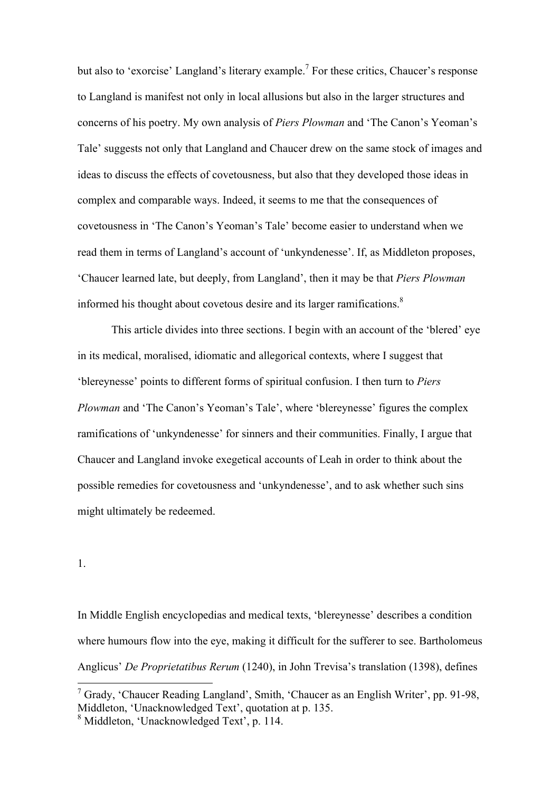but also to 'exorcise' Langland's literary example.<sup>7</sup> For these critics, Chaucer's response to Langland is manifest not only in local allusions but also in the larger structures and concerns of his poetry. My own analysis of *Piers Plowman* and 'The Canon's Yeoman's Tale' suggests not only that Langland and Chaucer drew on the same stock of images and ideas to discuss the effects of covetousness, but also that they developed those ideas in complex and comparable ways. Indeed, it seems to me that the consequences of covetousness in 'The Canon's Yeoman's Tale' become easier to understand when we read them in terms of Langland's account of 'unkyndenesse'. If, as Middleton proposes, 'Chaucer learned late, but deeply, from Langland', then it may be that *Piers Plowman* informed his thought about covetous desire and its larger ramifications.<sup>8</sup>

This article divides into three sections. I begin with an account of the 'blered' eye in its medical, moralised, idiomatic and allegorical contexts, where I suggest that 'blereynesse' points to different forms of spiritual confusion. I then turn to *Piers Plowman* and 'The Canon's Yeoman's Tale', where 'blereynesse' figures the complex ramifications of 'unkyndenesse' for sinners and their communities. Finally, I argue that Chaucer and Langland invoke exegetical accounts of Leah in order to think about the possible remedies for covetousness and 'unkyndenesse', and to ask whether such sins might ultimately be redeemed.

## 1.

In Middle English encyclopedias and medical texts, 'blereynesse' describes a condition where humours flow into the eye, making it difficult for the sufferer to see. Bartholomeus Anglicus' *De Proprietatibus Rerum* (1240), in John Trevisa's translation (1398), defines

<sup>&</sup>lt;sup>7</sup> Grady, 'Chaucer Reading Langland', Smith, 'Chaucer as an English Writer', pp. 91-98, Middleton, 'Unacknowledged Text', quotation at p. 135.

<sup>8</sup> Middleton, 'Unacknowledged Text', p. 114.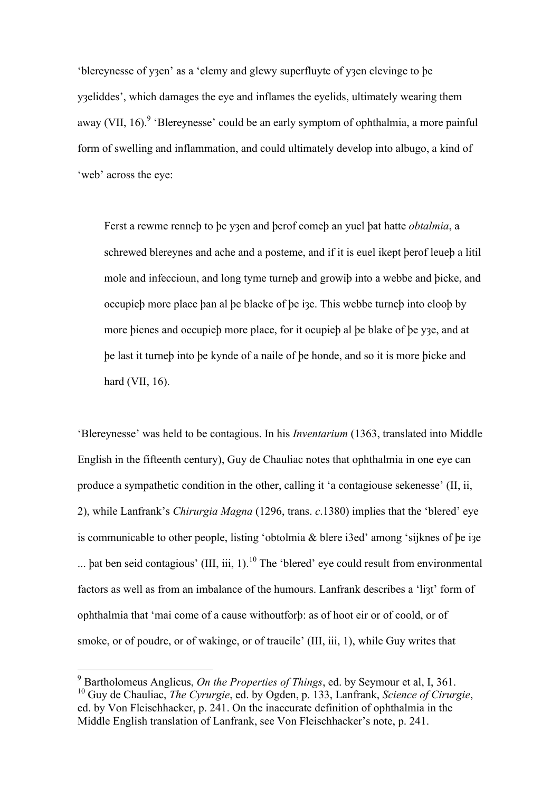'blereynesse of yȝen' as a 'clemy and glewy superfluyte of yȝen clevinge to þe y<sub>3</sub>eliddes', which damages the eye and inflames the eyelids, ultimately wearing them away (VII, 16).<sup>9</sup> 'Blereynesse' could be an early symptom of ophthalmia, a more painful form of swelling and inflammation, and could ultimately develop into albugo, a kind of 'web' across the eye:

Ferst a rewme renneþ to þe yȝen and þerof comeþ an yuel þat hatte *obtalmia*, a schrewed blereynes and ache and a posteme, and if it is euel ikept þerof leueþ a litil mole and infeccioun, and long tyme turneþ and growiþ into a webbe and þicke, and occupieþ more place þan al þe blacke of þe iȝe. This webbe turneþ into clooþ by more þicnes and occupieþ more place, for it ocupieþ al þe blake of þe yȝe, and at þe last it turneþ into þe kynde of a naile of þe honde, and so it is more þicke and hard (VII, 16).

'Blereynesse' was held to be contagious. In his *Inventarium* (1363, translated into Middle English in the fifteenth century), Guy de Chauliac notes that ophthalmia in one eye can produce a sympathetic condition in the other, calling it 'a contagiouse sekenesse' (II, ii, 2), while Lanfrank's *Chirurgia Magna* (1296, trans. *c*.1380) implies that the 'blered' eye is communicable to other people, listing 'obtolmia & blere i3ed' among 'sijknes of þe iȝe ... pat ben seid contagious' (III, iii,  $1$ ).<sup>10</sup> The 'blered' eye could result from environmental factors as well as from an imbalance of the humours. Lanfrank describes a 'li3t' form of ophthalmia that 'mai come of a cause withoutforþ: as of hoot eir or of coold, or of smoke, or of poudre, or of wakinge, or of traueile' (III, iii, 1), while Guy writes that

 <sup>9</sup> Bartholomeus Anglicus, *On the Properties of Things*, ed. by Seymour et al, I, 361. 10 Guy de Chauliac, *The Cyrurgie*, ed. by Ogden, p. 133, Lanfrank, *Science of Cirurgie*, ed. by Von Fleischhacker, p. 241. On the inaccurate definition of ophthalmia in the Middle English translation of Lanfrank, see Von Fleischhacker's note, p. 241.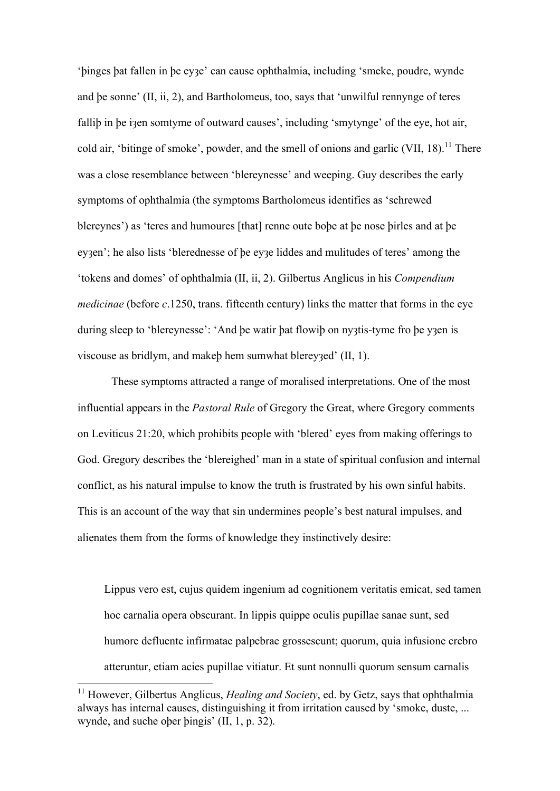'þinges þat fallen in þe eyȝe' can cause ophthalmia, including 'smeke, poudre, wynde and þe sonne' (II, ii, 2), and Bartholomeus, too, says that 'unwilful rennynge of teres fallib in be izen somtyme of outward causes', including 'smytynge' of the eye, hot air, cold air, 'bitinge of smoke', powder, and the smell of onions and garlic  $(VII, 18)$ <sup>11</sup>. There was a close resemblance between 'blereynesse' and weeping. Guy describes the early symptoms of ophthalmia (the symptoms Bartholomeus identifies as 'schrewed blereynes') as 'teres and humoures [that] renne oute boþe at þe nose þirles and at þe eyaen'; he also lists 'blerednesse of be eya liddes and mulitudes of teres' among the 'tokens and domes' of ophthalmia (II, ii, 2). Gilbertus Anglicus in his *Compendium medicinae* (before *c*.1250, trans. fifteenth century) links the matter that forms in the eye during sleep to 'blereynesse': 'And be watir þat flowiþ on nyatis-tyme fro þe ya en is viscouse as bridlym, and makeb hem sumwhat blereyzed' (II, 1).

These symptoms attracted a range of moralised interpretations. One of the most influential appears in the *Pastoral Rule* of Gregory the Great, where Gregory comments on Leviticus 21:20, which prohibits people with 'blered' eyes from making offerings to God. Gregory describes the 'blereighed' man in a state of spiritual confusion and internal conflict, as his natural impulse to know the truth is frustrated by his own sinful habits. This is an account of the way that sin undermines people's best natural impulses, and alienates them from the forms of knowledge they instinctively desire:

Lippus vero est, cujus quidem ingenium ad cognitionem veritatis emicat, sed tamen hoc carnalia opera obscurant. In lippis quippe oculis pupillae sanae sunt, sed humore defluente infirmatae palpebrae grossescunt; quorum, quia infusione crebro atteruntur, etiam acies pupillae vitiatur. Et sunt nonnulli quorum sensum carnalis

 <sup>11</sup> However, Gilbertus Anglicus, *Healing and Society*, ed. by Getz, says that ophthalmia always has internal causes, distinguishing it from irritation caused by 'smoke, duste, ... wynde, and suche oþer þingis' (II, 1, p. 32).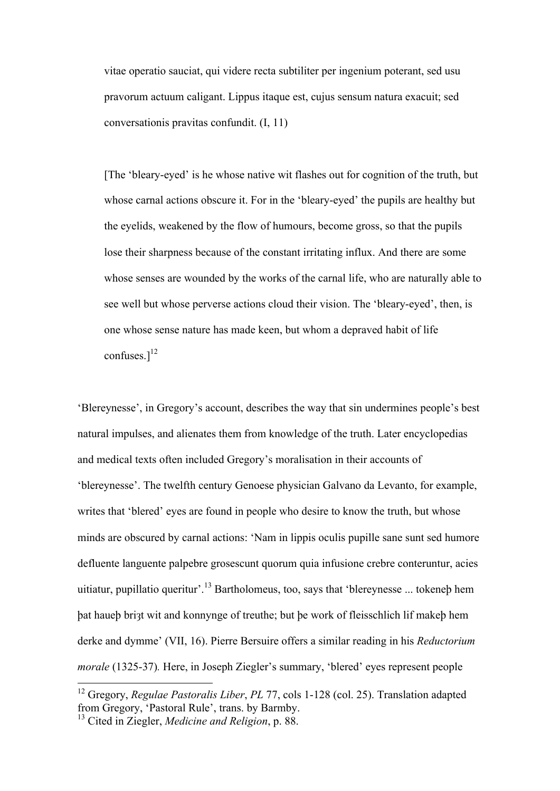vitae operatio sauciat, qui videre recta subtiliter per ingenium poterant, sed usu pravorum actuum caligant. Lippus itaque est, cujus sensum natura exacuit; sed conversationis pravitas confundit. (I, 11)

[The 'bleary-eyed' is he whose native wit flashes out for cognition of the truth, but whose carnal actions obscure it. For in the 'bleary-eyed' the pupils are healthy but the eyelids, weakened by the flow of humours, become gross, so that the pupils lose their sharpness because of the constant irritating influx. And there are some whose senses are wounded by the works of the carnal life, who are naturally able to see well but whose perverse actions cloud their vision. The 'bleary-eyed', then, is one whose sense nature has made keen, but whom a depraved habit of life confuses  $1^{12}$ 

'Blereynesse', in Gregory's account, describes the way that sin undermines people's best natural impulses, and alienates them from knowledge of the truth. Later encyclopedias and medical texts often included Gregory's moralisation in their accounts of 'blereynesse'. The twelfth century Genoese physician Galvano da Levanto, for example, writes that 'blered' eyes are found in people who desire to know the truth, but whose minds are obscured by carnal actions: 'Nam in lippis oculis pupille sane sunt sed humore defluente languente palpebre grosescunt quorum quia infusione crebre conteruntur, acies uitiatur, pupillatio queritur'.<sup>13</sup> Bartholomeus, too, says that 'blereynesse ... tokeneþ hem þat haueþ briȝt wit and konnynge of treuthe; but þe work of fleisschlich lif makeþ hem derke and dymme' (VII, 16). Pierre Bersuire offers a similar reading in his *Reductorium morale* (1325-37)*.* Here, in Joseph Ziegler's summary, 'blered' eyes represent people

 <sup>12</sup> Gregory, *Regulae Pastoralis Liber*, *PL* 77, cols 1-128 (col. 25). Translation adapted from Gregory, 'Pastoral Rule', trans. by Barmby.

<sup>13</sup> Cited in Ziegler, *Medicine and Religion*, p. 88.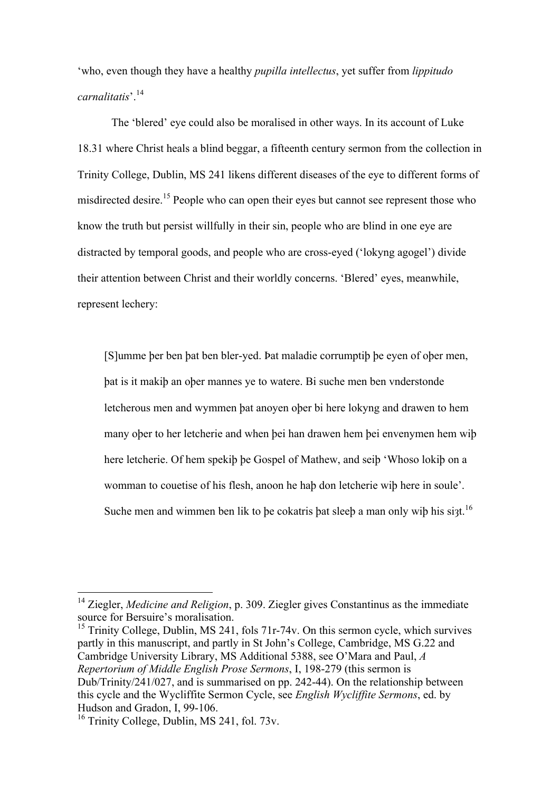'who, even though they have a healthy *pupilla intellectus*, yet suffer from *lippitudo carnalitatis*'.<sup>14</sup>

The 'blered' eye could also be moralised in other ways. In its account of Luke 18.31 where Christ heals a blind beggar, a fifteenth century sermon from the collection in Trinity College, Dublin, MS 241 likens different diseases of the eye to different forms of misdirected desire.<sup>15</sup> People who can open their eyes but cannot see represent those who know the truth but persist willfully in their sin, people who are blind in one eye are distracted by temporal goods, and people who are cross-eyed ('lokyng agogel') divide their attention between Christ and their worldly concerns. 'Blered' eyes, meanwhile, represent lechery:

[S]umme þer ben þat ben bler-yed. Þat maladie corrumptiþ þe eyen of oþer men, þat is it makiþ an oþer mannes ye to watere. Bi suche men ben vnderstonde letcherous men and wymmen þat anoyen oþer bi here lokyng and drawen to hem many oþer to her letcherie and when þei han drawen hem þei envenymen hem wiþ here letcherie. Of hem spekiþ þe Gospel of Mathew, and seiþ 'Whoso lokiþ on a womman to couetise of his flesh, anoon he haþ don letcherie wiþ here in soule'. Suche men and wimmen ben lik to be cokatris bat sleeb a man only wib his si $3t$ .<sup>16</sup>

<sup>15</sup> Trinity College, Dublin, MS 241, fols 71r-74v. On this sermon cycle, which survives partly in this manuscript, and partly in St John's College, Cambridge, MS G.22 and Cambridge University Library, MS Additional 5388, see O'Mara and Paul, *A Repertorium of Middle English Prose Sermons*, I, 198-279 (this sermon is Dub/Trinity/241/027, and is summarised on pp. 242-44). On the relationship between this cycle and the Wycliffite Sermon Cycle, see *English Wycliffite Sermons*, ed. by Hudson and Gradon, I, 99-106.

<sup>&</sup>lt;sup>14</sup> Ziegler, *Medicine and Religion*, p. 309. Ziegler gives Constantinus as the immediate source for Bersuire's moralisation.

<sup>&</sup>lt;sup>16</sup> Trinity College, Dublin, MS 241, fol. 73v.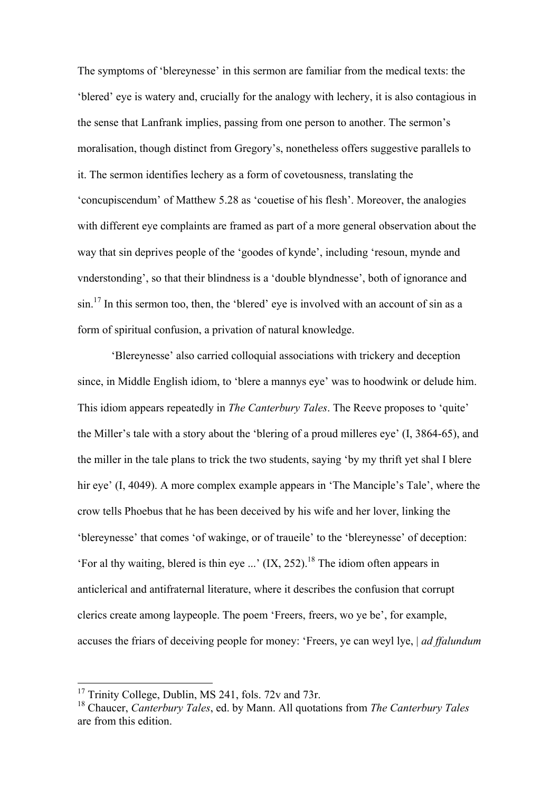The symptoms of 'blereynesse' in this sermon are familiar from the medical texts: the 'blered' eye is watery and, crucially for the analogy with lechery, it is also contagious in the sense that Lanfrank implies, passing from one person to another. The sermon's moralisation, though distinct from Gregory's, nonetheless offers suggestive parallels to it. The sermon identifies lechery as a form of covetousness, translating the 'concupiscendum' of Matthew 5.28 as 'couetise of his flesh'. Moreover, the analogies with different eye complaints are framed as part of a more general observation about the way that sin deprives people of the 'goodes of kynde', including 'resoun, mynde and vnderstonding', so that their blindness is a 'double blyndnesse', both of ignorance and  $\sin^{17}$  In this sermon too, then, the 'blered' eye is involved with an account of sin as a form of spiritual confusion, a privation of natural knowledge.

'Blereynesse' also carried colloquial associations with trickery and deception since, in Middle English idiom, to 'blere a mannys eye' was to hoodwink or delude him. This idiom appears repeatedly in *The Canterbury Tales*. The Reeve proposes to 'quite' the Miller's tale with a story about the 'blering of a proud milleres eye' (I, 3864-65), and the miller in the tale plans to trick the two students, saying 'by my thrift yet shal I blere hir eye' (I, 4049). A more complex example appears in 'The Manciple's Tale', where the crow tells Phoebus that he has been deceived by his wife and her lover, linking the 'blereynesse' that comes 'of wakinge, or of traueile' to the 'blereynesse' of deception: 'For al thy waiting, blered is thin eye ...'  $(IX, 252)$ <sup>18</sup>. The idiom often appears in anticlerical and antifraternal literature, where it describes the confusion that corrupt clerics create among laypeople. The poem 'Freers, freers, wo ye be', for example, accuses the friars of deceiving people for money: 'Freers, ye can weyl lye, | *ad ffalundum* 

<sup>&</sup>lt;sup>17</sup> Trinity College, Dublin, MS 241, fols. 72y and 73r.

<sup>18</sup> Chaucer, *Canterbury Tales*, ed. by Mann. All quotations from *The Canterbury Tales* are from this edition.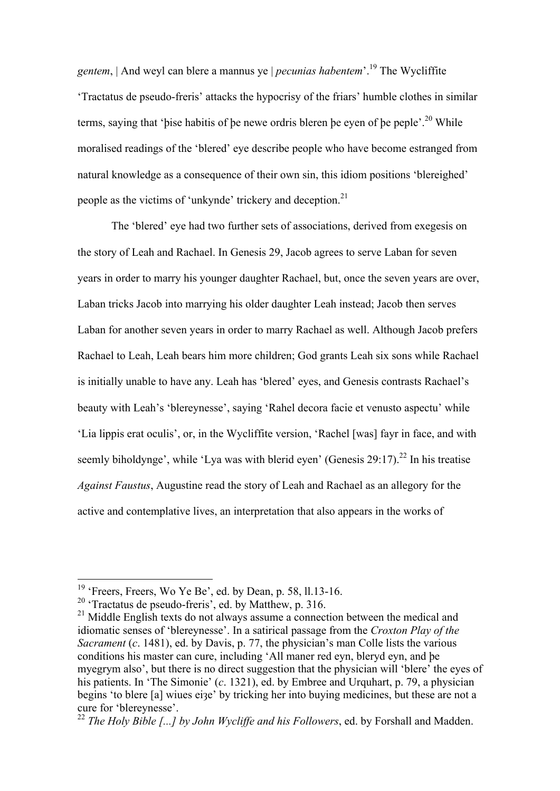*gentem*, | And weyl can blere a mannus ye | *pecunias habentem*'.19 The Wycliffite 'Tractatus de pseudo-freris' attacks the hypocrisy of the friars' humble clothes in similar terms, saying that 'bise habitis of be newe ordris bleren be eyen of be peple'.<sup>20</sup> While moralised readings of the 'blered' eye describe people who have become estranged from natural knowledge as a consequence of their own sin, this idiom positions 'blereighed' people as the victims of 'unkynde' trickery and deception.<sup>21</sup>

The 'blered' eye had two further sets of associations, derived from exegesis on the story of Leah and Rachael. In Genesis 29, Jacob agrees to serve Laban for seven years in order to marry his younger daughter Rachael, but, once the seven years are over, Laban tricks Jacob into marrying his older daughter Leah instead; Jacob then serves Laban for another seven years in order to marry Rachael as well. Although Jacob prefers Rachael to Leah, Leah bears him more children; God grants Leah six sons while Rachael is initially unable to have any. Leah has 'blered' eyes, and Genesis contrasts Rachael's beauty with Leah's 'blereynesse', saying 'Rahel decora facie et venusto aspectu' while 'Lia lippis erat oculis', or, in the Wycliffite version, 'Rachel [was] fayr in face, and with seemly biholdynge', while 'Lya was with blerid eyen' (Genesis 29:17).<sup>22</sup> In his treatise *Against Faustus*, Augustine read the story of Leah and Rachael as an allegory for the active and contemplative lives, an interpretation that also appears in the works of

 $19$  'Freers, Freers, Wo Ye Be', ed. by Dean, p. 58, 11.13-16.

<sup>20 &#</sup>x27;Tractatus de pseudo-freris', ed. by Matthew, p. 316.

<sup>&</sup>lt;sup>21</sup> Middle English texts do not always assume a connection between the medical and idiomatic senses of 'blereynesse'. In a satirical passage from the *Croxton Play of the Sacrament (c.* 1481), ed. by Davis, p. 77, the physician's man Colle lists the various conditions his master can cure, including 'All maner red eyn, bleryd eyn, and þe myegrym also', but there is no direct suggestion that the physician will 'blere' the eyes of his patients. In 'The Simonie' (*c*. 1321), ed. by Embree and Urquhart, p. 79, a physician begins 'to blere [a] wiues eize' by tricking her into buying medicines, but these are not a cure for 'blereynesse'.

<sup>&</sup>lt;sup>22</sup> *The Holy Bible [...] by John Wycliffe and his Followers*, ed. by Forshall and Madden.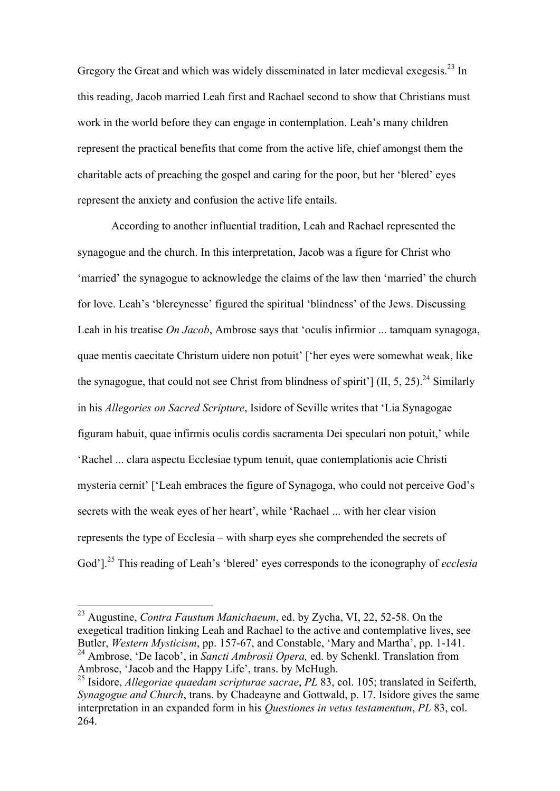Gregory the Great and which was widely disseminated in later medieval exegesis.<sup>23</sup> In this reading, Jacob married Leah first and Rachael second to show that Christians must work in the world before they can engage in contemplation. Leah's many children represent the practical benefits that come from the active life, chief amongst them the charitable acts of preaching the gospel and caring for the poor, but her 'blered' eyes represent the anxiety and confusion the active life entails.

According to another influential tradition, Leah and Rachael represented the synagogue and the church. In this interpretation, Jacob was a figure for Christ who 'married' the synagogue to acknowledge the claims of the law then 'married' the church for love. Leah's 'blereynesse' figured the spiritual 'blindness' of the Jews. Discussing Leah in his treatise *On Jacob*, Ambrose says that 'oculis infirmior ... tamquam synagoga, quae mentis caecitate Christum uidere non potuit' ['her eyes were somewhat weak, like the synagogue, that could not see Christ from blindness of spirit'] (II, 5, 25).<sup>24</sup> Similarly in his *Allegories on Sacred Scripture*, Isidore of Seville writes that 'Lia Synagogae figuram habuit, quae infirmis oculis cordis sacramenta Dei speculari non potuit,' while 'Rachel ... clara aspectu Ecclesiae typum tenuit, quae contemplationis acie Christi mysteria cernit' ['Leah embraces the figure of Synagoga, who could not perceive God's secrets with the weak eyes of her heart', while 'Rachael ... with her clear vision represents the type of Ecclesia – with sharp eyes she comprehended the secrets of God']. <sup>25</sup> This reading of Leah's 'blered' eyes corresponds to the iconography of *ecclesia*

 <sup>23</sup> Augustine, *Contra Faustum Manichaeum*, ed. by Zycha, VI, 22, 52-58. On the exegetical tradition linking Leah and Rachael to the active and contemplative lives, see Butler, *Western Mysticism*, pp. 157-67, and Constable, 'Mary and Martha', pp. 1-141. 24 Ambrose, 'De Iacob', in *Sancti Ambrosii Opera,* ed. by Schenkl. Translation from Ambrose, 'Jacob and the Happy Life', trans. by McHugh. <sup>25</sup> Isidore, *Allegoriae quaedam scripturae sacrae*, *PL* 83, col. 105; translated in Seiferth,

*Synagogue and Church*, trans. by Chadeayne and Gottwald, p. 17. Isidore gives the same interpretation in an expanded form in his *Questiones in vetus testamentum*, *PL* 83, col. 264.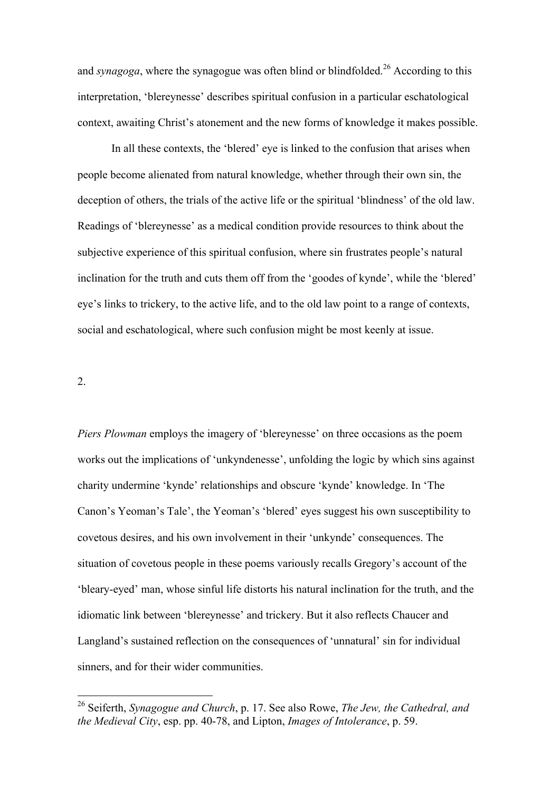and *synagoga*, where the synagogue was often blind or blindfolded.<sup>26</sup> According to this interpretation, 'blereynesse' describes spiritual confusion in a particular eschatological context, awaiting Christ's atonement and the new forms of knowledge it makes possible.

In all these contexts, the 'blered' eye is linked to the confusion that arises when people become alienated from natural knowledge, whether through their own sin, the deception of others, the trials of the active life or the spiritual 'blindness' of the old law. Readings of 'blereynesse' as a medical condition provide resources to think about the subjective experience of this spiritual confusion, where sin frustrates people's natural inclination for the truth and cuts them off from the 'goodes of kynde', while the 'blered' eye's links to trickery, to the active life, and to the old law point to a range of contexts, social and eschatological, where such confusion might be most keenly at issue.

2.

*Piers Plowman* employs the imagery of 'blereynesse' on three occasions as the poem works out the implications of 'unkyndenesse', unfolding the logic by which sins against charity undermine 'kynde' relationships and obscure 'kynde' knowledge. In 'The Canon's Yeoman's Tale', the Yeoman's 'blered' eyes suggest his own susceptibility to covetous desires, and his own involvement in their 'unkynde' consequences. The situation of covetous people in these poems variously recalls Gregory's account of the 'bleary-eyed' man, whose sinful life distorts his natural inclination for the truth, and the idiomatic link between 'blereynesse' and trickery. But it also reflects Chaucer and Langland's sustained reflection on the consequences of 'unnatural' sin for individual sinners, and for their wider communities.

 <sup>26</sup> Seiferth, *Synagogue and Church*, p. 17. See also Rowe, *The Jew, the Cathedral, and the Medieval City*, esp. pp. 40-78, and Lipton, *Images of Intolerance*, p. 59.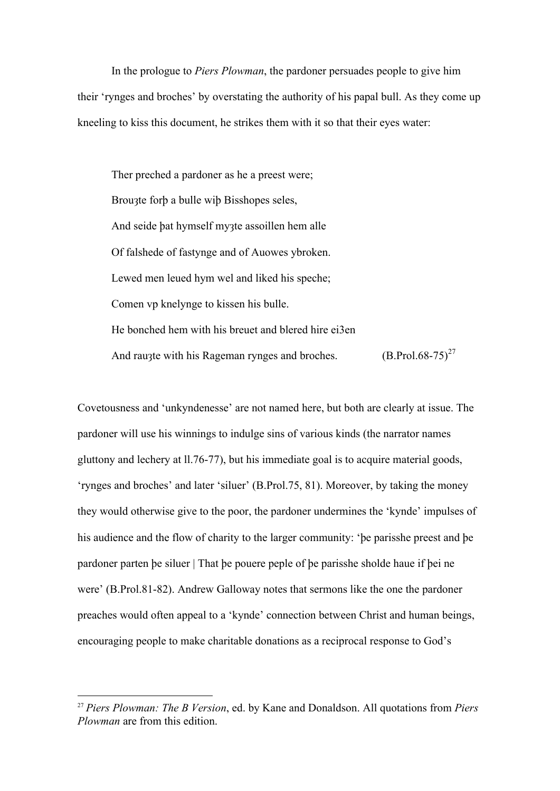In the prologue to *Piers Plowman*, the pardoner persuades people to give him their 'rynges and broches' by overstating the authority of his papal bull. As they come up kneeling to kiss this document, he strikes them with it so that their eyes water:

Ther preched a pardoner as he a preest were; Brouzte forb a bulle wib Bisshopes seles, And seide þat hymself myȝte assoillen hem alle Of falshede of fastynge and of Auowes ybroken. Lewed men leued hym wel and liked his speche; Comen vp knelynge to kissen his bulle. He bonched hem with his breuet and blered hire ei3en And raugte with his Rageman rynges and broches.  $(B.Prol.68-75)^{27}$ 

Covetousness and 'unkyndenesse' are not named here, but both are clearly at issue. The pardoner will use his winnings to indulge sins of various kinds (the narrator names gluttony and lechery at ll.76-77), but his immediate goal is to acquire material goods, 'rynges and broches' and later 'siluer' (B.Prol.75, 81). Moreover, by taking the money they would otherwise give to the poor, the pardoner undermines the 'kynde' impulses of his audience and the flow of charity to the larger community: 'þe parisshe preest and þe pardoner parten þe siluer | That þe pouere peple of þe parisshe sholde haue if þei ne were' (B.Prol.81-82). Andrew Galloway notes that sermons like the one the pardoner preaches would often appeal to a 'kynde' connection between Christ and human beings, encouraging people to make charitable donations as a reciprocal response to God's

 <sup>27</sup> *Piers Plowman: The B Version*, ed. by Kane and Donaldson. All quotations from *Piers Plowman* are from this edition.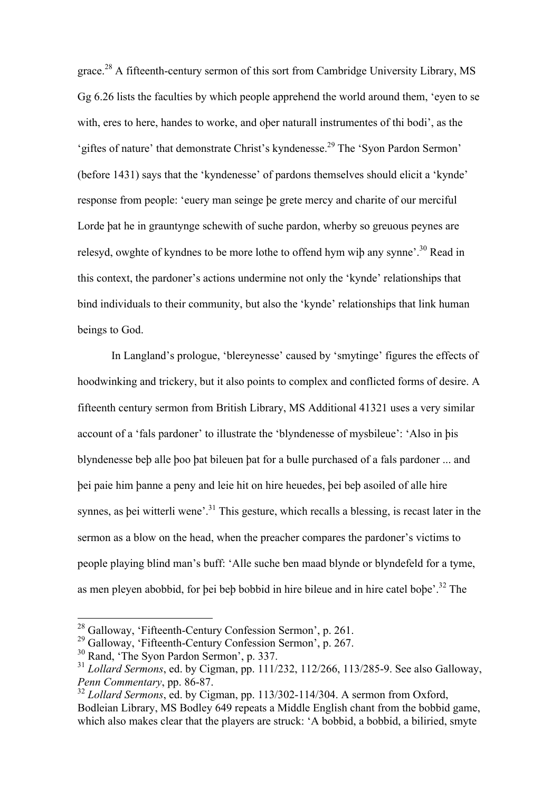grace.28 A fifteenth-century sermon of this sort from Cambridge University Library, MS Gg 6.26 lists the faculties by which people apprehend the world around them, 'eyen to se with, eres to here, handes to worke, and oþer naturall instrumentes of thi bodi', as the 'giftes of nature' that demonstrate Christ's kyndenesse.<sup>29</sup> The 'Syon Pardon Sermon' (before 1431) says that the 'kyndenesse' of pardons themselves should elicit a 'kynde' response from people: 'euery man seinge þe grete mercy and charite of our merciful Lorde þat he in grauntynge schewith of suche pardon, wherby so greuous peynes are relesyd, owghte of kyndnes to be more lothe to offend hym wib any synne'.<sup>30</sup> Read in this context, the pardoner's actions undermine not only the 'kynde' relationships that bind individuals to their community, but also the 'kynde' relationships that link human beings to God.

In Langland's prologue, 'blereynesse' caused by 'smytinge' figures the effects of hoodwinking and trickery, but it also points to complex and conflicted forms of desire. A fifteenth century sermon from British Library, MS Additional 41321 uses a very similar account of a 'fals pardoner' to illustrate the 'blyndenesse of mysbileue': 'Also in þis blyndenesse beþ alle þoo þat bileuen þat for a bulle purchased of a fals pardoner ... and þei paie him þanne a peny and leie hit on hire heuedes, þei beþ asoiled of alle hire synnes, as bei witterli wene'.<sup>31</sup> This gesture, which recalls a blessing, is recast later in the sermon as a blow on the head, when the preacher compares the pardoner's victims to people playing blind man's buff: 'Alle suche ben maad blynde or blyndefeld for a tyme, as men pleyen abobbid, for bei beb bobbid in hire bileue and in hire catel bobe'.<sup>32</sup> The

 <sup>28</sup> Galloway, 'Fifteenth-Century Confession Sermon', p. 261.

<sup>29</sup> Galloway, 'Fifteenth-Century Confession Sermon', p. 267.

<sup>30</sup> Rand, 'The Syon Pardon Sermon', p. 337.

<sup>31</sup> *Lollard Sermons*, ed. by Cigman, pp. 111/232, 112/266, 113/285-9. See also Galloway, *Penn Commentary*, pp. 86-87.

<sup>32</sup> *Lollard Sermons*, ed. by Cigman, pp. 113/302-114/304. A sermon from Oxford, Bodleian Library, MS Bodley 649 repeats a Middle English chant from the bobbid game, which also makes clear that the players are struck: 'A bobbid, a bobbid, a biliried, smyte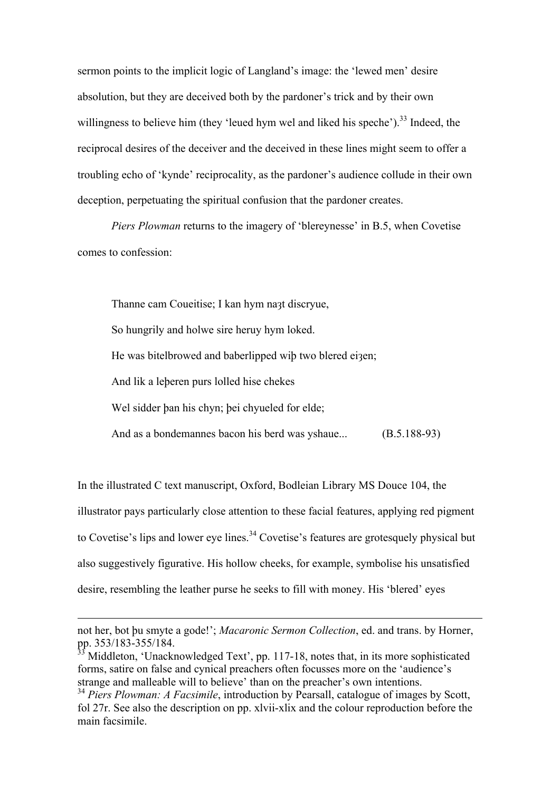sermon points to the implicit logic of Langland's image: the 'lewed men' desire absolution, but they are deceived both by the pardoner's trick and by their own willingness to believe him (they 'leued hym wel and liked his speche').<sup>33</sup> Indeed, the reciprocal desires of the deceiver and the deceived in these lines might seem to offer a troubling echo of 'kynde' reciprocality, as the pardoner's audience collude in their own deception, perpetuating the spiritual confusion that the pardoner creates.

*Piers Plowman* returns to the imagery of 'blereynesse' in B.5, when Covetise comes to confession:

Thanne cam Coueitise; I kan hym naạt discryue,

So hungrily and holwe sire heruy hym loked.

He was bitelbrowed and baberlipped wib two blered eizen;

And lik a leþeren purs lolled hise chekes

<u>.</u>

Wel sidder ban his chyn; bei chyueled for elde;

And as a bondemannes bacon his berd was yshaue... (B.5.188-93)

In the illustrated C text manuscript, Oxford, Bodleian Library MS Douce 104, the illustrator pays particularly close attention to these facial features, applying red pigment to Covetise's lips and lower eye lines.<sup>34</sup> Covetise's features are grotesquely physical but also suggestively figurative. His hollow cheeks, for example, symbolise his unsatisfied desire, resembling the leather purse he seeks to fill with money. His 'blered' eyes

not her, bot þu smyte a gode!'; *Macaronic Sermon Collection*, ed. and trans. by Horner, pp. 353/183-355/184.

 $3$  Middleton, 'Unacknowledged Text', pp. 117-18, notes that, in its more sophisticated forms, satire on false and cynical preachers often focusses more on the 'audience's strange and malleable will to believe' than on the preacher's own intentions.

<sup>34</sup> *Piers Plowman: A Facsimile*, introduction by Pearsall, catalogue of images by Scott, fol 27r. See also the description on pp. xlvii-xlix and the colour reproduction before the main facsimile.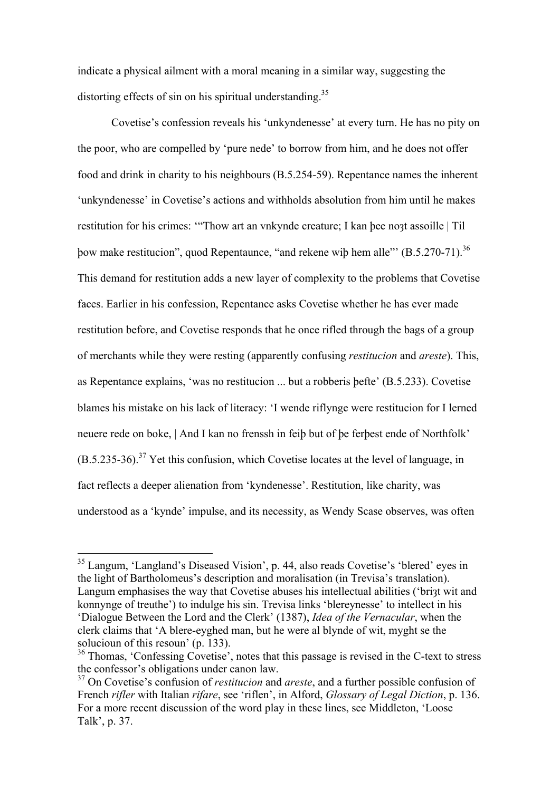indicate a physical ailment with a moral meaning in a similar way, suggesting the distorting effects of sin on his spiritual understanding.<sup>35</sup>

Covetise's confession reveals his 'unkyndenesse' at every turn. He has no pity on the poor, who are compelled by 'pure nede' to borrow from him, and he does not offer food and drink in charity to his neighbours (B.5.254-59). Repentance names the inherent 'unkyndenesse' in Covetise's actions and withholds absolution from him until he makes restitution for his crimes: "Thow art an vnkynde creature: I kan bee noat assoille | Til þow make restitucion", quod Repentaunce, "and rekene wiþ hem alle"' (B.5.270-71).36 This demand for restitution adds a new layer of complexity to the problems that Covetise faces. Earlier in his confession, Repentance asks Covetise whether he has ever made restitution before, and Covetise responds that he once rifled through the bags of a group of merchants while they were resting (apparently confusing *restitucion* and *areste*). This, as Repentance explains, 'was no restitucion ... but a robberis þefte' (B.5.233). Covetise blames his mistake on his lack of literacy: 'I wende riflynge were restitucion for I lerned neuere rede on boke, | And I kan no frenssh in feiþ but of þe ferþest ende of Northfolk'  $(B.5.235-36).$ <sup>37</sup> Yet this confusion, which Covetise locates at the level of language, in fact reflects a deeper alienation from 'kyndenesse'. Restitution, like charity, was understood as a 'kynde' impulse, and its necessity, as Wendy Scase observes, was often

 <sup>35</sup> Langum, 'Langland's Diseased Vision', p. 44, also reads Covetise's 'blered' eyes in the light of Bartholomeus's description and moralisation (in Trevisa's translation). Langum emphasises the way that Covetise abuses his intellectual abilities ('bringt wit and konnynge of treuthe') to indulge his sin. Trevisa links 'blereynesse' to intellect in his 'Dialogue Between the Lord and the Clerk' (1387), *Idea of the Vernacular*, when the clerk claims that 'A blere-eyghed man, but he were al blynde of wit, myght se the solucioun of this resoun' (p. 133).

<sup>&</sup>lt;sup>36</sup> Thomas, 'Confessing Covetise', notes that this passage is revised in the C-text to stress the confessor's obligations under canon law.

<sup>37</sup> On Covetise's confusion of *restitucion* and *areste*, and a further possible confusion of French *rifler* with Italian *rifare*, see 'riflen', in Alford, *Glossary of Legal Diction*, p. 136. For a more recent discussion of the word play in these lines, see Middleton, 'Loose Talk', p. 37.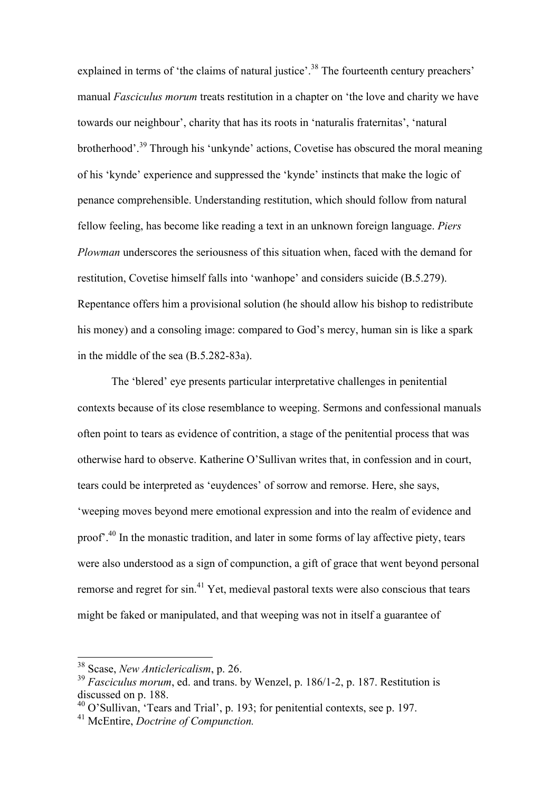explained in terms of 'the claims of natural justice'.<sup>38</sup> The fourteenth century preachers' manual *Fasciculus morum* treats restitution in a chapter on 'the love and charity we have towards our neighbour', charity that has its roots in 'naturalis fraternitas', 'natural brotherhood'.<sup>39</sup> Through his 'unkynde' actions, Covetise has obscured the moral meaning of his 'kynde' experience and suppressed the 'kynde' instincts that make the logic of penance comprehensible. Understanding restitution, which should follow from natural fellow feeling, has become like reading a text in an unknown foreign language. *Piers Plowman* underscores the seriousness of this situation when, faced with the demand for restitution, Covetise himself falls into 'wanhope' and considers suicide (B.5.279). Repentance offers him a provisional solution (he should allow his bishop to redistribute his money) and a consoling image: compared to God's mercy, human sin is like a spark in the middle of the sea (B.5.282-83a).

The 'blered' eye presents particular interpretative challenges in penitential contexts because of its close resemblance to weeping. Sermons and confessional manuals often point to tears as evidence of contrition, a stage of the penitential process that was otherwise hard to observe. Katherine O'Sullivan writes that, in confession and in court, tears could be interpreted as 'euydences' of sorrow and remorse. Here, she says, 'weeping moves beyond mere emotional expression and into the realm of evidence and proof'.40 In the monastic tradition, and later in some forms of lay affective piety, tears were also understood as a sign of compunction, a gift of grace that went beyond personal remorse and regret for  $\sin^{41}$  Yet, medieval pastoral texts were also conscious that tears might be faked or manipulated, and that weeping was not in itself a guarantee of

 <sup>38</sup> Scase, *New Anticlericalism*, p. 26.

<sup>&</sup>lt;sup>39</sup> *Fasciculus morum*, ed. and trans. by Wenzel, p. 186/1-2, p. 187. Restitution is discussed on p. 188.

<sup>40</sup> O'Sullivan, 'Tears and Trial', p. 193; for penitential contexts, see p. 197.

<sup>41</sup> McEntire, *Doctrine of Compunction.*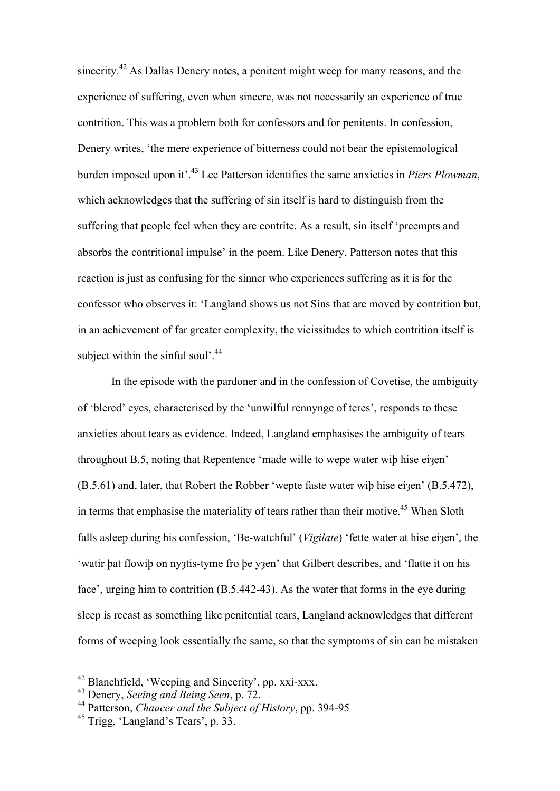sincerity.<sup>42</sup> As Dallas Denery notes, a penitent might weep for many reasons, and the experience of suffering, even when sincere, was not necessarily an experience of true contrition. This was a problem both for confessors and for penitents. In confession, Denery writes, 'the mere experience of bitterness could not bear the epistemological burden imposed upon it'. 43 Lee Patterson identifies the same anxieties in *Piers Plowman*, which acknowledges that the suffering of sin itself is hard to distinguish from the suffering that people feel when they are contrite. As a result, sin itself 'preempts and absorbs the contritional impulse' in the poem. Like Denery, Patterson notes that this reaction is just as confusing for the sinner who experiences suffering as it is for the confessor who observes it: 'Langland shows us not Sins that are moved by contrition but, in an achievement of far greater complexity, the vicissitudes to which contrition itself is subject within the sinful soul'.<sup>44</sup>

In the episode with the pardoner and in the confession of Covetise, the ambiguity of 'blered' eyes, characterised by the 'unwilful rennynge of teres', responds to these anxieties about tears as evidence. Indeed, Langland emphasises the ambiguity of tears throughout B.5, noting that Repentence 'made wille to wepe water wip hise eizen' (B.5.61) and, later, that Robert the Robber 'wepte faste water wip hise eizen' (B.5.472), in terms that emphasise the materiality of tears rather than their motive.<sup>45</sup> When Sloth falls asleep during his confession, 'Be-watchful' (*Vigilate*) 'fette water at hise ei3en', the 'watir þat flowiþ on nyȝtis-tyme fro þe yȝen' that Gilbert describes, and 'flatte it on his face', urging him to contrition (B.5.442-43). As the water that forms in the eye during sleep is recast as something like penitential tears, Langland acknowledges that different forms of weeping look essentially the same, so that the symptoms of sin can be mistaken

 <sup>42</sup> Blanchfield, 'Weeping and Sincerity', pp. xxi-xxx.

<sup>43</sup> Denery, *Seeing and Being Seen*, p. 72.

<sup>44</sup> Patterson, *Chaucer and the Subject of History*, pp. 394-95

<sup>45</sup> Trigg, 'Langland's Tears', p. 33.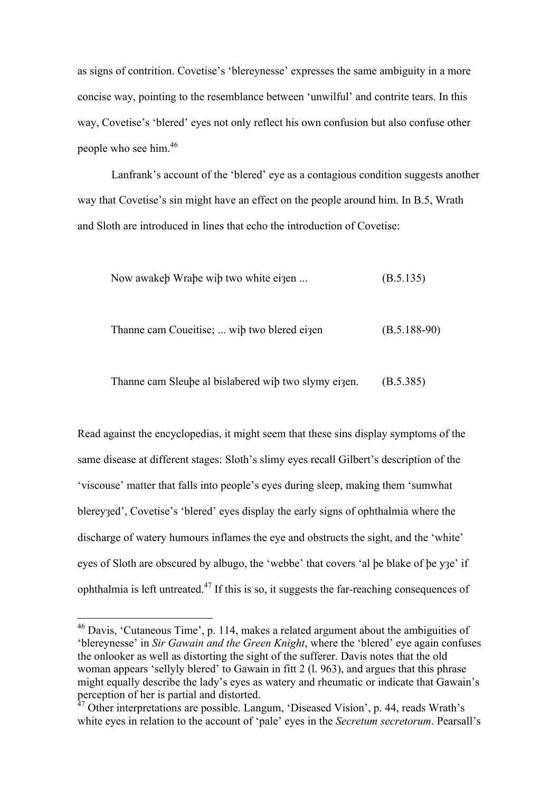as signs of contrition. Covetise's 'blereynesse' expresses the same ambiguity in a more concise way, pointing to the resemblance between 'unwilful' and contrite tears. In this way, Covetise's 'blered' eyes not only reflect his own confusion but also confuse other people who see him.<sup>46</sup>

Lanfrank's account of the 'blered' eye as a contagious condition suggests another way that Covetise's sin might have an effect on the people around him. In B.5, Wrath and Sloth are introduced in lines that echo the introduction of Covetise:

Now awakeþ Wraþe wiþ two white eiȝen ... (B.5.135)

$$
Thanne cam Coueities; \dots \text{wib two blered eigen} \qquad (B.5.188-90)
$$

Thanne cam Sleube al bislabered wib two slymy eizen. (B.5.385)

Read against the encyclopedias, it might seem that these sins display symptoms of the same disease at different stages: Sloth's slimy eyes recall Gilbert's description of the 'viscouse' matter that falls into people's eyes during sleep, making them 'sumwhat blereyȝed', Covetise's 'blered' eyes display the early signs of ophthalmia where the discharge of watery humours inflames the eye and obstructs the sight, and the 'white' eyes of Sloth are obscured by albugo, the 'webbe' that covers 'al þe blake of þe yȝe' if ophthalmia is left untreated.<sup>47</sup> If this is so, it suggests the far-reaching consequences of

 <sup>46</sup> Davis, 'Cutaneous Time', p. 114, makes a related argument about the ambiguities of 'blereynesse' in *Sir Gawain and the Green Knight*, where the 'blered' eye again confuses the onlooker as well as distorting the sight of the sufferer. Davis notes that the old woman appears 'sellyly blered' to Gawain in fitt 2 (l. 963), and argues that this phrase might equally describe the lady's eyes as watery and rheumatic or indicate that Gawain's perception of her is partial and distorted.

<sup>47</sup> Other interpretations are possible. Langum, 'Diseased Vision', p. 44, reads Wrath's white eyes in relation to the account of 'pale' eyes in the *Secretum secretorum*. Pearsall's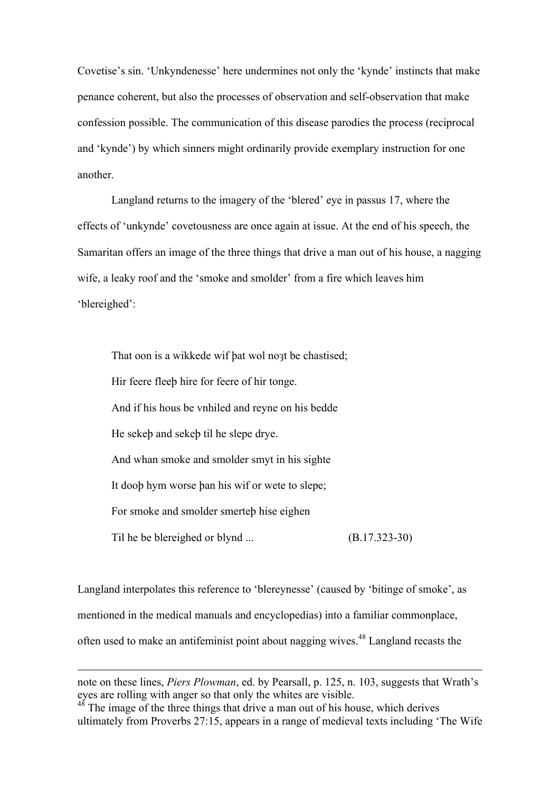Covetise's sin. 'Unkyndenesse' here undermines not only the 'kynde' instincts that make penance coherent, but also the processes of observation and self-observation that make confession possible. The communication of this disease parodies the process (reciprocal and 'kynde') by which sinners might ordinarily provide exemplary instruction for one another.

Langland returns to the imagery of the 'blered' eye in passus 17, where the effects of 'unkynde' covetousness are once again at issue. At the end of his speech, the Samaritan offers an image of the three things that drive a man out of his house, a nagging wife, a leaky roof and the 'smoke and smolder' from a fire which leaves him 'blereighed':

That oon is a wikkede wif bat wol noat be chastised; Hir feere fleeþ hire for feere of hir tonge. And if his hous be vnhiled and reyne on his bedde He sekeþ and sekeþ til he slepe drye. And whan smoke and smolder smyt in his sighte It dooþ hym worse þan his wif or wete to slepe; For smoke and smolder smerteþ hise eighen Til he be blereighed or blynd ... (B.17.323-30)

Langland interpolates this reference to 'blereynesse' (caused by 'bitinge of smoke', as mentioned in the medical manuals and encyclopedias) into a familiar commonplace, often used to make an antifeminist point about nagging wives.48 Langland recasts the

1

note on these lines, *Piers Plowman*, ed. by Pearsall, p. 125, n. 103, suggests that Wrath's eyes are rolling with anger so that only the whites are visible.

<sup>&</sup>lt;sup>48</sup> The image of the three things that drive a man out of his house, which derives ultimately from Proverbs 27:15, appears in a range of medieval texts including 'The Wife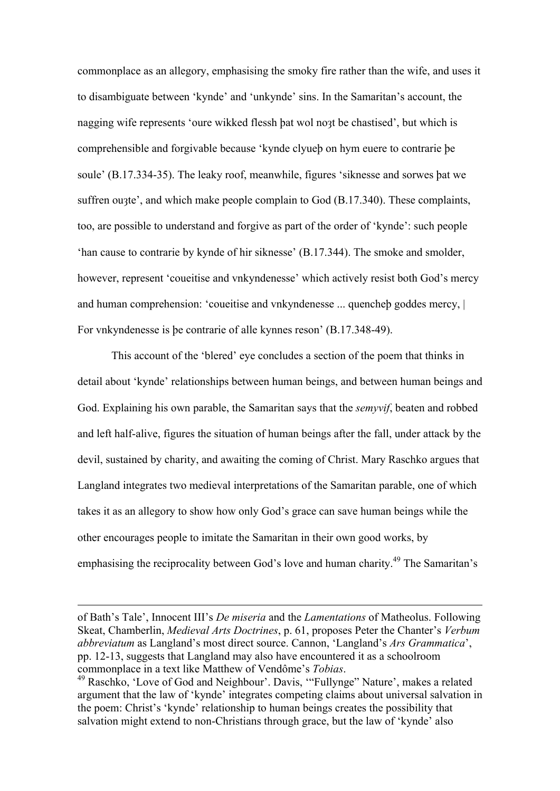commonplace as an allegory, emphasising the smoky fire rather than the wife, and uses it to disambiguate between 'kynde' and 'unkynde' sins. In the Samaritan's account, the nagging wife represents 'oure wikked flessh bat wol noạt be chastised', but which is comprehensible and forgivable because 'kynde clyueþ on hym euere to contrarie þe soule' (B.17.334-35). The leaky roof, meanwhile, figures 'siknesse and sorwes þat we suffren ou $;$  and which make people complain to God  $(B.17.340)$ . These complaints, too, are possible to understand and forgive as part of the order of 'kynde': such people 'han cause to contrarie by kynde of hir siknesse' (B.17.344). The smoke and smolder, however, represent 'coueitise and vnkyndenesse' which actively resist both God's mercy and human comprehension: 'coueitise and vnkyndenesse ... quencheb goddes mercy, | For vnkyndenesse is þe contrarie of alle kynnes reson' (B.17.348-49).

This account of the 'blered' eye concludes a section of the poem that thinks in detail about 'kynde' relationships between human beings, and between human beings and God. Explaining his own parable, the Samaritan says that the *semyvif*, beaten and robbed and left half-alive, figures the situation of human beings after the fall, under attack by the devil, sustained by charity, and awaiting the coming of Christ. Mary Raschko argues that Langland integrates two medieval interpretations of the Samaritan parable, one of which takes it as an allegory to show how only God's grace can save human beings while the other encourages people to imitate the Samaritan in their own good works, by emphasising the reciprocality between God's love and human charity.<sup>49</sup> The Samaritan's

1

of Bath's Tale', Innocent III's *De miseria* and the *Lamentations* of Matheolus. Following Skeat, Chamberlin, *Medieval Arts Doctrines*, p. 61, proposes Peter the Chanter's *Verbum abbreviatum* as Langland's most direct source. Cannon, 'Langland's *Ars Grammatica*', pp. 12-13, suggests that Langland may also have encountered it as a schoolroom

commonplace in a text like Matthew of Vendôme's *Tobias*. <sup>49</sup> Raschko, 'Love of God and Neighbour'. Davis, '"Fullynge" Nature', makes a related argument that the law of 'kynde' integrates competing claims about universal salvation in the poem: Christ's 'kynde' relationship to human beings creates the possibility that salvation might extend to non-Christians through grace, but the law of 'kynde' also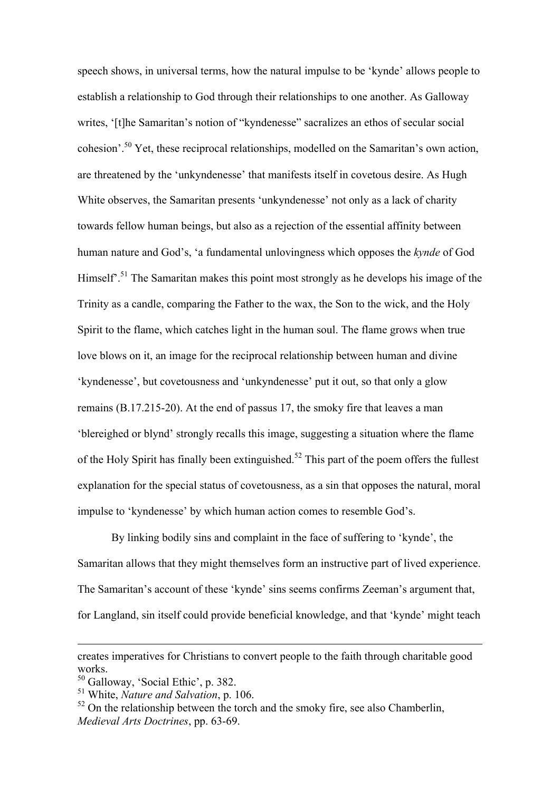speech shows, in universal terms, how the natural impulse to be 'kynde' allows people to establish a relationship to God through their relationships to one another. As Galloway writes, '[t]he Samaritan's notion of "kyndenesse" sacralizes an ethos of secular social cohesion'.50 Yet, these reciprocal relationships, modelled on the Samaritan's own action, are threatened by the 'unkyndenesse' that manifests itself in covetous desire. As Hugh White observes, the Samaritan presents 'unkyndenesse' not only as a lack of charity towards fellow human beings, but also as a rejection of the essential affinity between human nature and God's, 'a fundamental unlovingness which opposes the *kynde* of God Himself<sup>'.51</sup> The Samaritan makes this point most strongly as he develops his image of the Trinity as a candle, comparing the Father to the wax, the Son to the wick, and the Holy Spirit to the flame, which catches light in the human soul. The flame grows when true love blows on it, an image for the reciprocal relationship between human and divine 'kyndenesse', but covetousness and 'unkyndenesse' put it out, so that only a glow remains (B.17.215-20). At the end of passus 17, the smoky fire that leaves a man 'blereighed or blynd' strongly recalls this image, suggesting a situation where the flame of the Holy Spirit has finally been extinguished.<sup>52</sup> This part of the poem offers the fullest explanation for the special status of covetousness, as a sin that opposes the natural, moral impulse to 'kyndenesse' by which human action comes to resemble God's.

By linking bodily sins and complaint in the face of suffering to 'kynde', the Samaritan allows that they might themselves form an instructive part of lived experience. The Samaritan's account of these 'kynde' sins seems confirms Zeeman's argument that, for Langland, sin itself could provide beneficial knowledge, and that 'kynde' might teach

1

creates imperatives for Christians to convert people to the faith through charitable good works.

<sup>50</sup> Galloway, 'Social Ethic', p. 382.

<sup>51</sup> White, *Nature and Salvation*, p. 106.

 $52$  On the relationship between the torch and the smoky fire, see also Chamberlin, *Medieval Arts Doctrines*, pp. 63-69.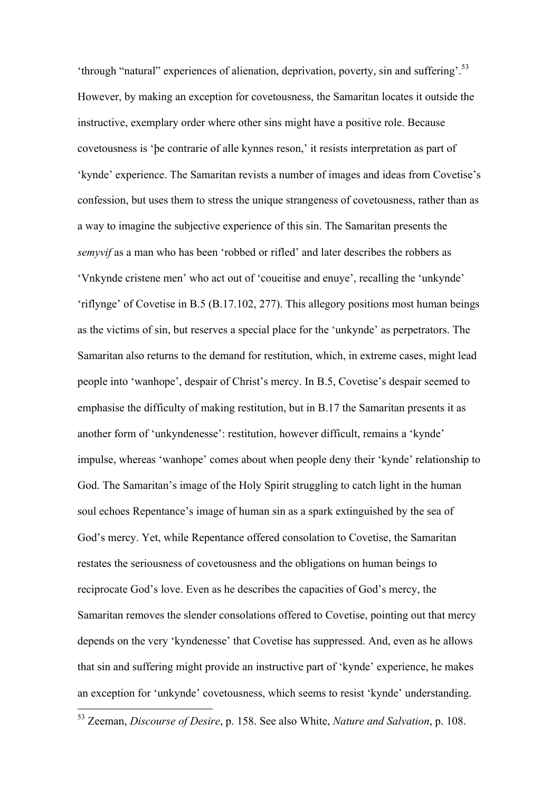'through "natural" experiences of alienation, deprivation, poverty, sin and suffering'.<sup>53</sup> However, by making an exception for covetousness, the Samaritan locates it outside the instructive, exemplary order where other sins might have a positive role. Because covetousness is 'þe contrarie of alle kynnes reson,' it resists interpretation as part of 'kynde' experience. The Samaritan revists a number of images and ideas from Covetise's confession, but uses them to stress the unique strangeness of covetousness, rather than as a way to imagine the subjective experience of this sin. The Samaritan presents the *semyvif* as a man who has been 'robbed or rifled' and later describes the robbers as 'Vnkynde cristene men' who act out of 'coueitise and enuye', recalling the 'unkynde' 'riflynge' of Covetise in B.5 (B.17.102, 277). This allegory positions most human beings as the victims of sin, but reserves a special place for the 'unkynde' as perpetrators. The Samaritan also returns to the demand for restitution, which, in extreme cases, might lead people into 'wanhope', despair of Christ's mercy. In B.5, Covetise's despair seemed to emphasise the difficulty of making restitution, but in B.17 the Samaritan presents it as another form of 'unkyndenesse': restitution, however difficult, remains a 'kynde' impulse, whereas 'wanhope' comes about when people deny their 'kynde' relationship to God. The Samaritan's image of the Holy Spirit struggling to catch light in the human soul echoes Repentance's image of human sin as a spark extinguished by the sea of God's mercy. Yet, while Repentance offered consolation to Covetise, the Samaritan restates the seriousness of covetousness and the obligations on human beings to reciprocate God's love. Even as he describes the capacities of God's mercy, the Samaritan removes the slender consolations offered to Covetise, pointing out that mercy depends on the very 'kyndenesse' that Covetise has suppressed. And, even as he allows that sin and suffering might provide an instructive part of 'kynde' experience, he makes an exception for 'unkynde' covetousness, which seems to resist 'kynde' understanding.

 <sup>53</sup> Zeeman, *Discourse of Desire*, p. 158. See also White, *Nature and Salvation*, p. 108.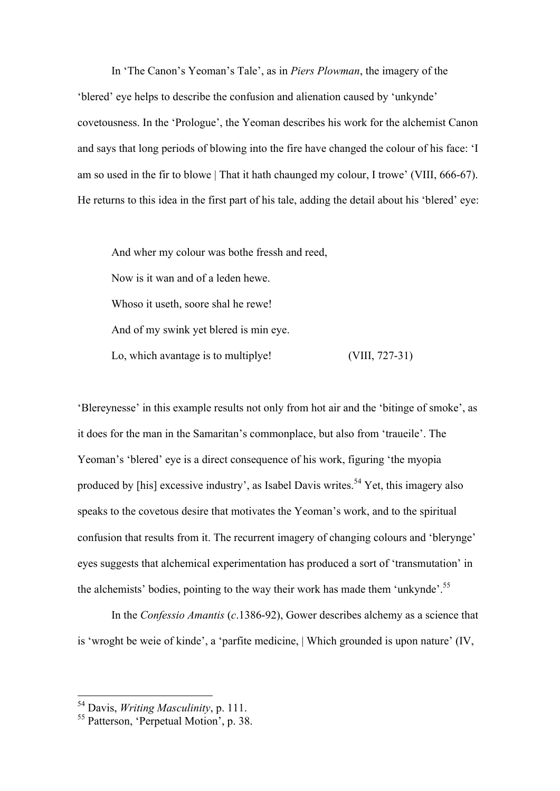In 'The Canon's Yeoman's Tale', as in *Piers Plowman*, the imagery of the 'blered' eye helps to describe the confusion and alienation caused by 'unkynde' covetousness. In the 'Prologue', the Yeoman describes his work for the alchemist Canon and says that long periods of blowing into the fire have changed the colour of his face: 'I am so used in the fir to blowe | That it hath chaunged my colour, I trowe' (VIII, 666-67). He returns to this idea in the first part of his tale, adding the detail about his 'blered' eye:

And wher my colour was bothe fressh and reed, Now is it wan and of a leden hewe. Whoso it useth, soore shal he rewe! And of my swink yet blered is min eye. Lo, which avantage is to multiplye! (VIII, 727-31)

'Blereynesse' in this example results not only from hot air and the 'bitinge of smoke', as it does for the man in the Samaritan's commonplace, but also from 'traueile'. The Yeoman's 'blered' eye is a direct consequence of his work, figuring 'the myopia produced by [his] excessive industry', as Isabel Davis writes.<sup>54</sup> Yet, this imagery also speaks to the covetous desire that motivates the Yeoman's work, and to the spiritual confusion that results from it. The recurrent imagery of changing colours and 'blerynge' eyes suggests that alchemical experimentation has produced a sort of 'transmutation' in the alchemists' bodies, pointing to the way their work has made them 'unkynde'.<sup>55</sup>

In the *Confessio Amantis* (*c*.1386-92), Gower describes alchemy as a science that is 'wroght be weie of kinde', a 'parfite medicine, | Which grounded is upon nature' (IV,

 <sup>54</sup> Davis, *Writing Masculinity*, p. 111.

<sup>55</sup> Patterson, 'Perpetual Motion', p. 38.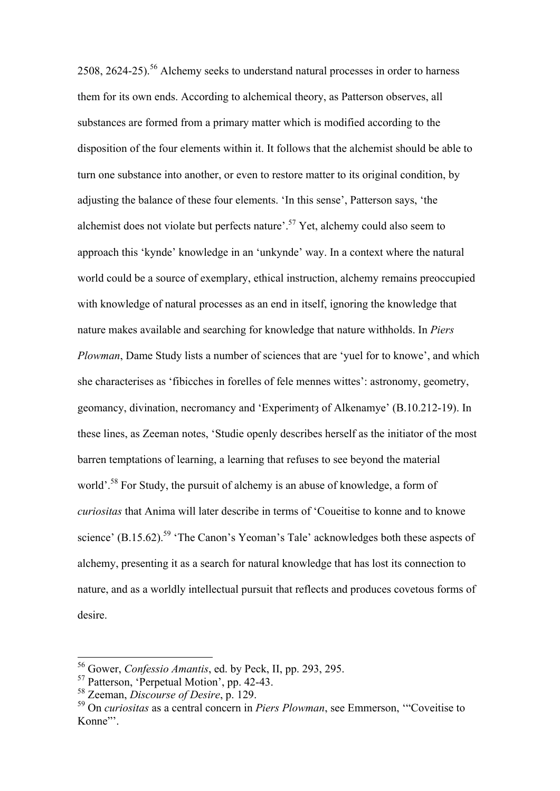2508, 2624-25).<sup>56</sup> Alchemy seeks to understand natural processes in order to harness them for its own ends. According to alchemical theory, as Patterson observes, all substances are formed from a primary matter which is modified according to the disposition of the four elements within it. It follows that the alchemist should be able to turn one substance into another, or even to restore matter to its original condition, by adjusting the balance of these four elements. 'In this sense', Patterson says, 'the alchemist does not violate but perfects nature'.<sup>57</sup> Yet, alchemy could also seem to approach this 'kynde' knowledge in an 'unkynde' way. In a context where the natural world could be a source of exemplary, ethical instruction, alchemy remains preoccupied with knowledge of natural processes as an end in itself, ignoring the knowledge that nature makes available and searching for knowledge that nature withholds. In *Piers Plowman*, Dame Study lists a number of sciences that are 'yuel for to knowe', and which she characterises as 'fibicches in forelles of fele mennes wittes': astronomy, geometry, geomancy, divination, necromancy and 'Experimenta of Alkenamye' (B.10.212-19). In these lines, as Zeeman notes, 'Studie openly describes herself as the initiator of the most barren temptations of learning, a learning that refuses to see beyond the material world'.<sup>58</sup> For Study, the pursuit of alchemy is an abuse of knowledge, a form of *curiositas* that Anima will later describe in terms of 'Coueitise to konne and to knowe science' (B.15.62).<sup>59</sup> 'The Canon's Yeoman's Tale' acknowledges both these aspects of alchemy, presenting it as a search for natural knowledge that has lost its connection to nature, and as a worldly intellectual pursuit that reflects and produces covetous forms of desire.

 <sup>56</sup> Gower, *Confessio Amantis*, ed. by Peck, II, pp. 293, 295.

<sup>57</sup> Patterson, 'Perpetual Motion', pp. 42-43. 58 Zeeman, *Discourse of Desire*, p. 129.

<sup>59</sup> On *curiositas* as a central concern in *Piers Plowman*, see Emmerson, '"Coveitise to Konne"'.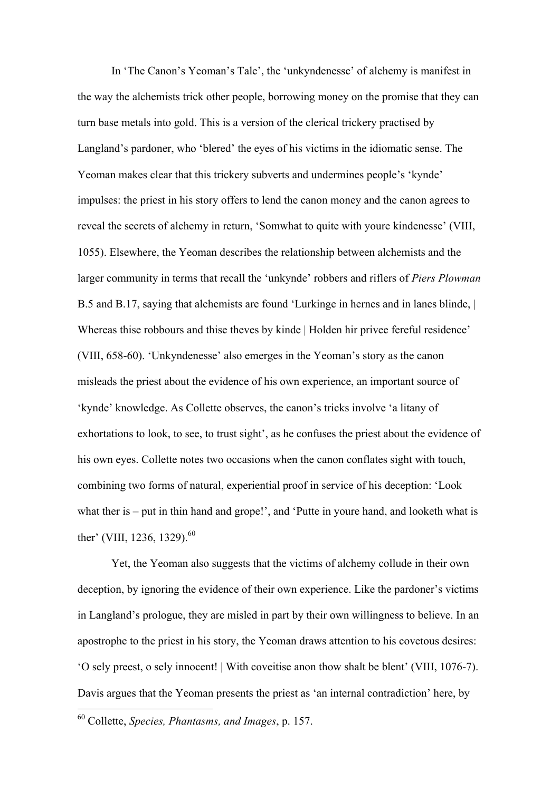In 'The Canon's Yeoman's Tale', the 'unkyndenesse' of alchemy is manifest in the way the alchemists trick other people, borrowing money on the promise that they can turn base metals into gold. This is a version of the clerical trickery practised by Langland's pardoner, who 'blered' the eyes of his victims in the idiomatic sense. The Yeoman makes clear that this trickery subverts and undermines people's 'kynde' impulses: the priest in his story offers to lend the canon money and the canon agrees to reveal the secrets of alchemy in return, 'Somwhat to quite with youre kindenesse' (VIII, 1055). Elsewhere, the Yeoman describes the relationship between alchemists and the larger community in terms that recall the 'unkynde' robbers and riflers of *Piers Plowman* B.5 and B.17, saying that alchemists are found 'Lurkinge in hernes and in lanes blinde, | Whereas thise robbours and thise theves by kinde | Holden hir privee fereful residence' (VIII, 658-60). 'Unkyndenesse' also emerges in the Yeoman's story as the canon misleads the priest about the evidence of his own experience, an important source of 'kynde' knowledge. As Collette observes, the canon's tricks involve 'a litany of exhortations to look, to see, to trust sight', as he confuses the priest about the evidence of his own eyes. Collette notes two occasions when the canon conflates sight with touch, combining two forms of natural, experiential proof in service of his deception: 'Look what ther is – put in thin hand and grope!', and 'Putte in youre hand, and looketh what is ther' (VIII, 1236, 1329).<sup>60</sup>

Yet, the Yeoman also suggests that the victims of alchemy collude in their own deception, by ignoring the evidence of their own experience. Like the pardoner's victims in Langland's prologue, they are misled in part by their own willingness to believe. In an apostrophe to the priest in his story, the Yeoman draws attention to his covetous desires: 'O sely preest, o sely innocent! | With coveitise anon thow shalt be blent' (VIII, 1076-7). Davis argues that the Yeoman presents the priest as 'an internal contradiction' here, by

 <sup>60</sup> Collette, *Species, Phantasms, and Images*, p. 157.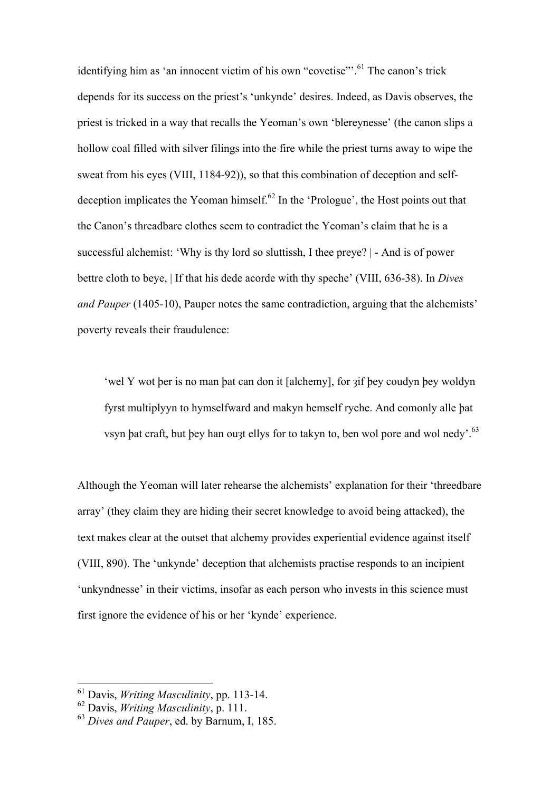identifying him as 'an innocent victim of his own "covetise".<sup>61</sup> The canon's trick depends for its success on the priest's 'unkynde' desires. Indeed, as Davis observes, the priest is tricked in a way that recalls the Yeoman's own 'blereynesse' (the canon slips a hollow coal filled with silver filings into the fire while the priest turns away to wipe the sweat from his eyes (VIII, 1184-92)), so that this combination of deception and selfdeception implicates the Yeoman himself.<sup> $62$ </sup> In the 'Prologue', the Host points out that the Canon's threadbare clothes seem to contradict the Yeoman's claim that he is a successful alchemist: 'Why is thy lord so sluttissh, I thee preye? | - And is of power bettre cloth to beye, | If that his dede acorde with thy speche' (VIII, 636-38). In *Dives and Pauper* (1405-10), Pauper notes the same contradiction, arguing that the alchemists' poverty reveals their fraudulence:

'wel Y wot þer is no man þat can don it [alchemy], for ȝif þey coudyn þey woldyn fyrst multiplyyn to hymselfward and makyn hemself ryche. And comonly alle þat vsyn þat craft, but þey han ou3t ellys for to takyn to, ben wol pore and wol nedy'.<sup>63</sup>

Although the Yeoman will later rehearse the alchemists' explanation for their 'threedbare array' (they claim they are hiding their secret knowledge to avoid being attacked), the text makes clear at the outset that alchemy provides experiential evidence against itself (VIII, 890). The 'unkynde' deception that alchemists practise responds to an incipient 'unkyndnesse' in their victims, insofar as each person who invests in this science must first ignore the evidence of his or her 'kynde' experience.

 <sup>61</sup> Davis, *Writing Masculinity*, pp. 113-14.

<sup>62</sup> Davis, *Writing Masculinity*, p. 111.

<sup>63</sup> *Dives and Pauper*, ed. by Barnum, I, 185.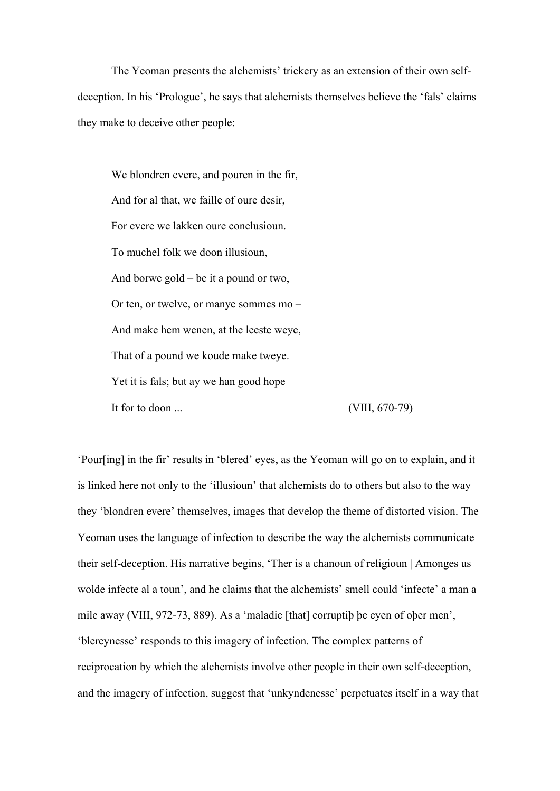The Yeoman presents the alchemists' trickery as an extension of their own selfdeception. In his 'Prologue', he says that alchemists themselves believe the 'fals' claims they make to deceive other people:

We blondren evere, and pouren in the fir, And for al that, we faille of oure desir, For evere we lakken oure conclusioun. To muchel folk we doon illusioun, And borwe gold – be it a pound or two, Or ten, or twelve, or manye sommes mo – And make hem wenen, at the leeste weye, That of a pound we koude make tweye. Yet it is fals; but ay we han good hope It for to doon ... (VIII, 670-79)

'Pour[ing] in the fir' results in 'blered' eyes, as the Yeoman will go on to explain, and it is linked here not only to the 'illusioun' that alchemists do to others but also to the way they 'blondren evere' themselves, images that develop the theme of distorted vision. The Yeoman uses the language of infection to describe the way the alchemists communicate their self-deception. His narrative begins, 'Ther is a chanoun of religioun | Amonges us wolde infecte al a toun', and he claims that the alchemists' smell could 'infecte' a man a mile away (VIII, 972-73, 889). As a 'maladie [that] corruptiþ þe eyen of oþer men', 'blereynesse' responds to this imagery of infection. The complex patterns of reciprocation by which the alchemists involve other people in their own self-deception, and the imagery of infection, suggest that 'unkyndenesse' perpetuates itself in a way that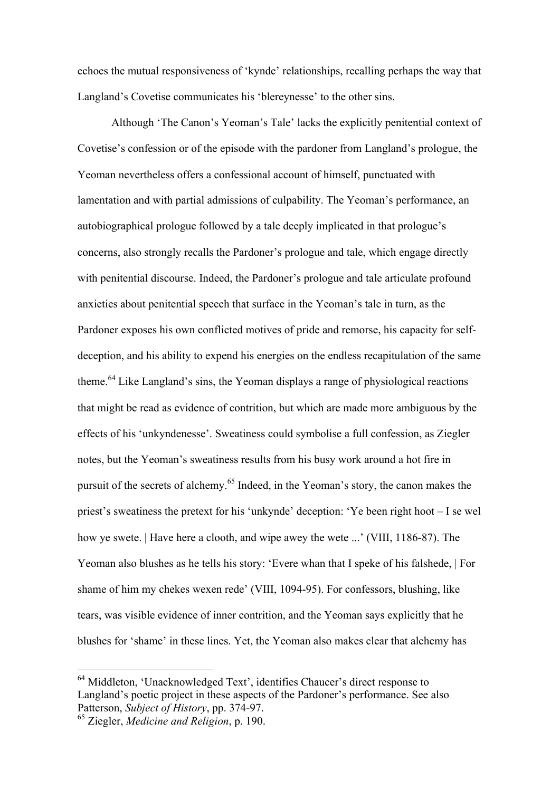echoes the mutual responsiveness of 'kynde' relationships, recalling perhaps the way that Langland's Covetise communicates his 'blereynesse' to the other sins.

Although 'The Canon's Yeoman's Tale' lacks the explicitly penitential context of Covetise's confession or of the episode with the pardoner from Langland's prologue, the Yeoman nevertheless offers a confessional account of himself, punctuated with lamentation and with partial admissions of culpability. The Yeoman's performance, an autobiographical prologue followed by a tale deeply implicated in that prologue's concerns, also strongly recalls the Pardoner's prologue and tale, which engage directly with penitential discourse. Indeed, the Pardoner's prologue and tale articulate profound anxieties about penitential speech that surface in the Yeoman's tale in turn, as the Pardoner exposes his own conflicted motives of pride and remorse, his capacity for selfdeception, and his ability to expend his energies on the endless recapitulation of the same theme.<sup>64</sup> Like Langland's sins, the Yeoman displays a range of physiological reactions that might be read as evidence of contrition, but which are made more ambiguous by the effects of his 'unkyndenesse'. Sweatiness could symbolise a full confession, as Ziegler notes, but the Yeoman's sweatiness results from his busy work around a hot fire in pursuit of the secrets of alchemy.<sup>65</sup> Indeed, in the Yeoman's story, the canon makes the priest's sweatiness the pretext for his 'unkynde' deception: 'Ye been right hoot – I se wel how ye swete. | Have here a clooth, and wipe awey the wete ...' (VIII, 1186-87). The Yeoman also blushes as he tells his story: 'Evere whan that I speke of his falshede, | For shame of him my chekes wexen rede' (VIII, 1094-95). For confessors, blushing, like tears, was visible evidence of inner contrition, and the Yeoman says explicitly that he blushes for 'shame' in these lines. Yet, the Yeoman also makes clear that alchemy has

 <sup>64</sup> Middleton, 'Unacknowledged Text', identifies Chaucer's direct response to Langland's poetic project in these aspects of the Pardoner's performance. See also Patterson, *Subject of History*, pp. 374-97. 65 Ziegler, *Medicine and Religion*, p. 190.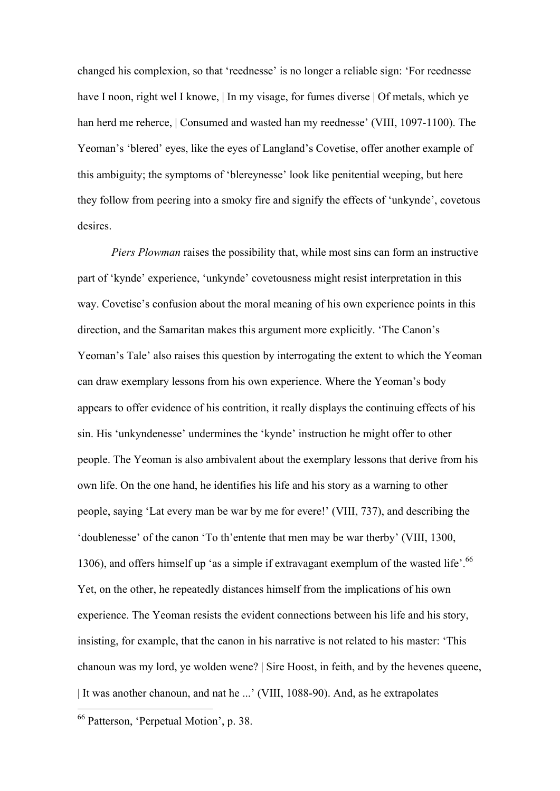changed his complexion, so that 'reednesse' is no longer a reliable sign: 'For reednesse have I noon, right wel I knowe, | In my visage, for fumes diverse | Of metals, which ye han herd me reherce, | Consumed and wasted han my reednesse' (VIII, 1097-1100). The Yeoman's 'blered' eyes, like the eyes of Langland's Covetise, offer another example of this ambiguity; the symptoms of 'blereynesse' look like penitential weeping, but here they follow from peering into a smoky fire and signify the effects of 'unkynde', covetous desires.

*Piers Plowman* raises the possibility that, while most sins can form an instructive part of 'kynde' experience, 'unkynde' covetousness might resist interpretation in this way. Covetise's confusion about the moral meaning of his own experience points in this direction, and the Samaritan makes this argument more explicitly. 'The Canon's Yeoman's Tale' also raises this question by interrogating the extent to which the Yeoman can draw exemplary lessons from his own experience. Where the Yeoman's body appears to offer evidence of his contrition, it really displays the continuing effects of his sin. His 'unkyndenesse' undermines the 'kynde' instruction he might offer to other people. The Yeoman is also ambivalent about the exemplary lessons that derive from his own life. On the one hand, he identifies his life and his story as a warning to other people, saying 'Lat every man be war by me for evere!' (VIII, 737), and describing the 'doublenesse' of the canon 'To th'entente that men may be war therby' (VIII, 1300, 1306), and offers himself up 'as a simple if extravagant exemplum of the wasted life'.<sup>66</sup> Yet, on the other, he repeatedly distances himself from the implications of his own experience. The Yeoman resists the evident connections between his life and his story, insisting, for example, that the canon in his narrative is not related to his master: 'This chanoun was my lord, ye wolden wene? | Sire Hoost, in feith, and by the hevenes queene, | It was another chanoun, and nat he ...' (VIII, 1088-90). And, as he extrapolates

 <sup>66</sup> Patterson, 'Perpetual Motion', p. 38.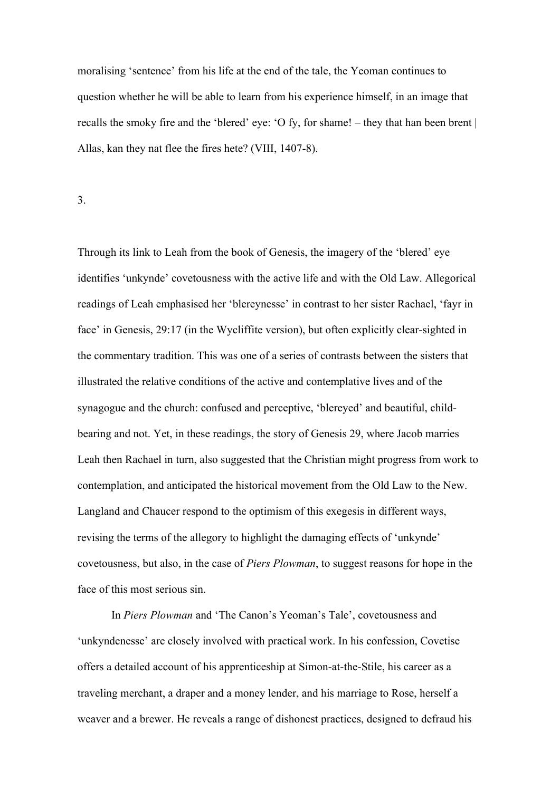moralising 'sentence' from his life at the end of the tale, the Yeoman continues to question whether he will be able to learn from his experience himself, in an image that recalls the smoky fire and the 'blered' eye: 'O fy, for shame! – they that han been brent | Allas, kan they nat flee the fires hete? (VIII, 1407-8).

3.

Through its link to Leah from the book of Genesis, the imagery of the 'blered' eye identifies 'unkynde' covetousness with the active life and with the Old Law. Allegorical readings of Leah emphasised her 'blereynesse' in contrast to her sister Rachael, 'fayr in face' in Genesis, 29:17 (in the Wycliffite version), but often explicitly clear-sighted in the commentary tradition. This was one of a series of contrasts between the sisters that illustrated the relative conditions of the active and contemplative lives and of the synagogue and the church: confused and perceptive, 'blereyed' and beautiful, childbearing and not. Yet, in these readings, the story of Genesis 29, where Jacob marries Leah then Rachael in turn, also suggested that the Christian might progress from work to contemplation, and anticipated the historical movement from the Old Law to the New. Langland and Chaucer respond to the optimism of this exegesis in different ways, revising the terms of the allegory to highlight the damaging effects of 'unkynde' covetousness, but also, in the case of *Piers Plowman*, to suggest reasons for hope in the face of this most serious sin.

In *Piers Plowman* and 'The Canon's Yeoman's Tale', covetousness and 'unkyndenesse' are closely involved with practical work. In his confession, Covetise offers a detailed account of his apprenticeship at Simon-at-the-Stile, his career as a traveling merchant, a draper and a money lender, and his marriage to Rose, herself a weaver and a brewer. He reveals a range of dishonest practices, designed to defraud his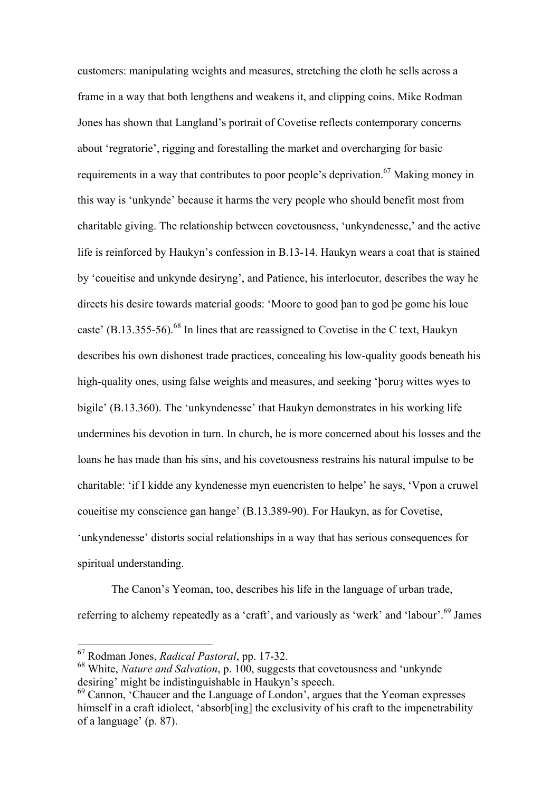customers: manipulating weights and measures, stretching the cloth he sells across a frame in a way that both lengthens and weakens it, and clipping coins. Mike Rodman Jones has shown that Langland's portrait of Covetise reflects contemporary concerns about 'regratorie', rigging and forestalling the market and overcharging for basic requirements in a way that contributes to poor people's deprivation.<sup>67</sup> Making money in this way is 'unkynde' because it harms the very people who should benefit most from charitable giving. The relationship between covetousness, 'unkyndenesse,' and the active life is reinforced by Haukyn's confession in B.13-14. Haukyn wears a coat that is stained by 'coueitise and unkynde desiryng', and Patience, his interlocutor, describes the way he directs his desire towards material goods: 'Moore to good þan to god þe gome his loue caste' (B.13.355-56).<sup>68</sup> In lines that are reassigned to Covetise in the C text, Haukyn describes his own dishonest trade practices, concealing his low-quality goods beneath his high-quality ones, using false weights and measures, and seeking 'boru3 wittes wyes to bigile' (B.13.360). The 'unkyndenesse' that Haukyn demonstrates in his working life undermines his devotion in turn. In church, he is more concerned about his losses and the loans he has made than his sins, and his covetousness restrains his natural impulse to be charitable: 'if I kidde any kyndenesse myn euencristen to helpe' he says, 'Vpon a cruwel coueitise my conscience gan hange' (B.13.389-90). For Haukyn, as for Covetise, 'unkyndenesse' distorts social relationships in a way that has serious consequences for spiritual understanding.

The Canon's Yeoman, too, describes his life in the language of urban trade, referring to alchemy repeatedly as a 'craft', and variously as 'werk' and 'labour'.<sup>69</sup> James

 <sup>67</sup> Rodman Jones, *Radical Pastoral*, pp. 17-32.

<sup>68</sup> White, *Nature and Salvation*, p. 100, suggests that covetousness and 'unkynde desiring' might be indistinguishable in Haukyn's speech.<br><sup>69</sup> Cannon, 'Chaucer and the Language of London', argues that the Yeoman expresses

himself in a craft idiolect, 'absorb[ing] the exclusivity of his craft to the impenetrability of a language' (p. 87).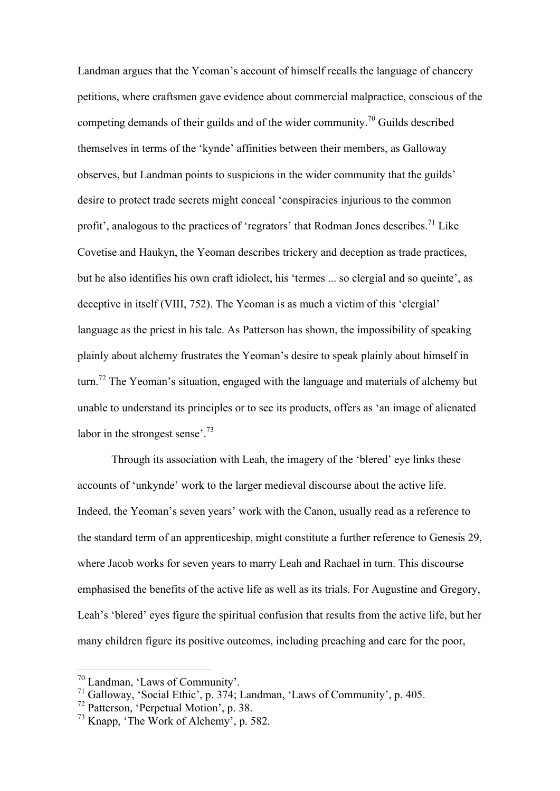Landman argues that the Yeoman's account of himself recalls the language of chancery petitions, where craftsmen gave evidence about commercial malpractice, conscious of the competing demands of their guilds and of the wider community.<sup>70</sup> Guilds described themselves in terms of the 'kynde' affinities between their members, as Galloway observes, but Landman points to suspicions in the wider community that the guilds' desire to protect trade secrets might conceal 'conspiracies injurious to the common profit', analogous to the practices of 'regrators' that Rodman Jones describes.<sup>71</sup> Like Covetise and Haukyn, the Yeoman describes trickery and deception as trade practices, but he also identifies his own craft idiolect, his 'termes ... so clergial and so queinte', as deceptive in itself (VIII, 752). The Yeoman is as much a victim of this 'clergial' language as the priest in his tale. As Patterson has shown, the impossibility of speaking plainly about alchemy frustrates the Yeoman's desire to speak plainly about himself in turn.<sup>72</sup> The Yeoman's situation, engaged with the language and materials of alchemy but unable to understand its principles or to see its products, offers as 'an image of alienated labor in the strongest sense'.<sup>73</sup>

Through its association with Leah, the imagery of the 'blered' eye links these accounts of 'unkynde' work to the larger medieval discourse about the active life. Indeed, the Yeoman's seven years' work with the Canon, usually read as a reference to the standard term of an apprenticeship, might constitute a further reference to Genesis 29, where Jacob works for seven years to marry Leah and Rachael in turn. This discourse emphasised the benefits of the active life as well as its trials. For Augustine and Gregory, Leah's 'blered' eyes figure the spiritual confusion that results from the active life, but her many children figure its positive outcomes, including preaching and care for the poor,

 <sup>70</sup> Landman, 'Laws of Community'.

<sup>71</sup> Galloway, 'Social Ethic', p. 374; Landman, 'Laws of Community', p. 405.

<sup>72</sup> Patterson, 'Perpetual Motion', p. 38.

<sup>73</sup> Knapp, 'The Work of Alchemy', p. 582.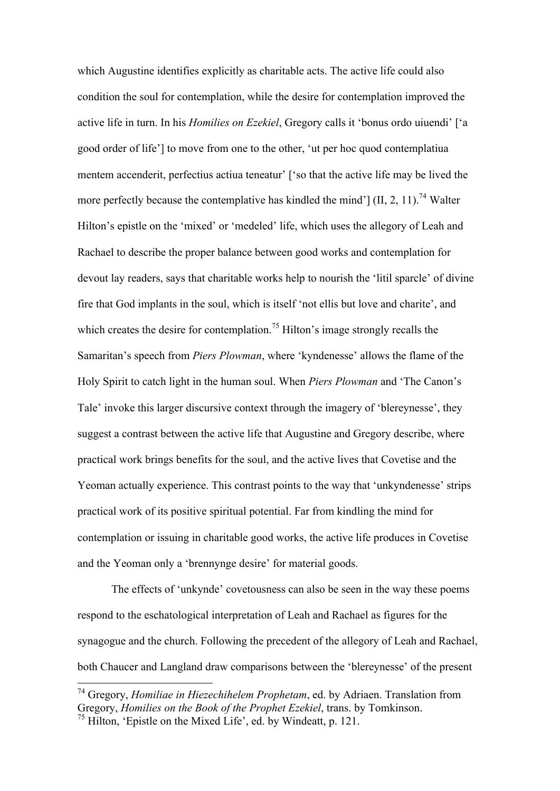which Augustine identifies explicitly as charitable acts. The active life could also condition the soul for contemplation, while the desire for contemplation improved the active life in turn. In his *Homilies on Ezekiel*, Gregory calls it 'bonus ordo uiuendi' ['a good order of life'] to move from one to the other, 'ut per hoc quod contemplatiua mentem accenderit, perfectius actiua teneatur' ['so that the active life may be lived the more perfectly because the contemplative has kindled the mind']  $(II, 2, 11)$ .<sup>74</sup> Walter Hilton's epistle on the 'mixed' or 'medeled' life, which uses the allegory of Leah and Rachael to describe the proper balance between good works and contemplation for devout lay readers, says that charitable works help to nourish the 'litil sparcle' of divine fire that God implants in the soul, which is itself 'not ellis but love and charite', and which creates the desire for contemplation.<sup>75</sup> Hilton's image strongly recalls the Samaritan's speech from *Piers Plowman*, where 'kyndenesse' allows the flame of the Holy Spirit to catch light in the human soul. When *Piers Plowman* and 'The Canon's Tale' invoke this larger discursive context through the imagery of 'blereynesse', they suggest a contrast between the active life that Augustine and Gregory describe, where practical work brings benefits for the soul, and the active lives that Covetise and the Yeoman actually experience. This contrast points to the way that 'unkyndenesse' strips practical work of its positive spiritual potential. Far from kindling the mind for contemplation or issuing in charitable good works, the active life produces in Covetise and the Yeoman only a 'brennynge desire' for material goods.

The effects of 'unkynde' covetousness can also be seen in the way these poems respond to the eschatological interpretation of Leah and Rachael as figures for the synagogue and the church. Following the precedent of the allegory of Leah and Rachael, both Chaucer and Langland draw comparisons between the 'blereynesse' of the present

 74 Gregory, *Homiliae in Hiezechihelem Prophetam*, ed. by Adriaen. Translation from Gregory, *Homilies on the Book of the Prophet Ezekiel*, trans. by Tomkinson. <sup>75</sup> Hilton, 'Epistle on the Mixed Life', ed. by Windeatt, p. 121.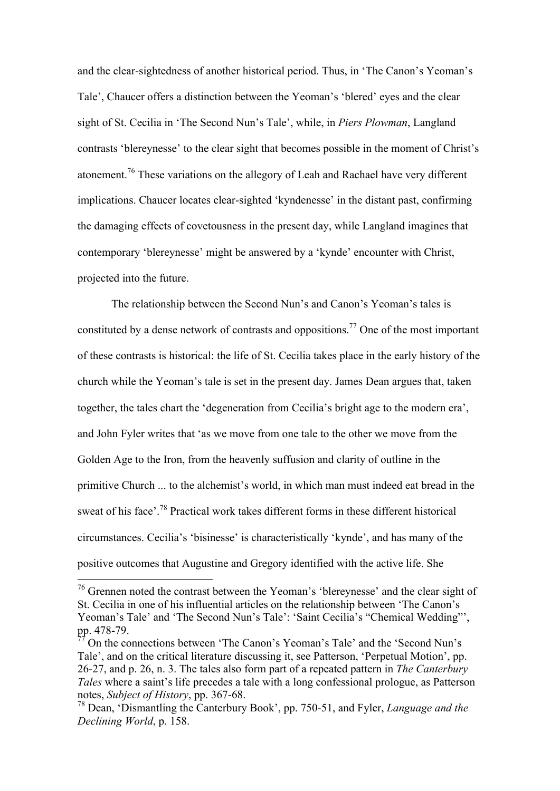and the clear-sightedness of another historical period. Thus, in 'The Canon's Yeoman's Tale', Chaucer offers a distinction between the Yeoman's 'blered' eyes and the clear sight of St. Cecilia in 'The Second Nun's Tale', while, in *Piers Plowman*, Langland contrasts 'blereynesse' to the clear sight that becomes possible in the moment of Christ's atonement.76 These variations on the allegory of Leah and Rachael have very different implications. Chaucer locates clear-sighted 'kyndenesse' in the distant past, confirming the damaging effects of covetousness in the present day, while Langland imagines that contemporary 'blereynesse' might be answered by a 'kynde' encounter with Christ, projected into the future.

The relationship between the Second Nun's and Canon's Yeoman's tales is constituted by a dense network of contrasts and oppositions.77 One of the most important of these contrasts is historical: the life of St. Cecilia takes place in the early history of the church while the Yeoman's tale is set in the present day. James Dean argues that, taken together, the tales chart the 'degeneration from Cecilia's bright age to the modern era', and John Fyler writes that 'as we move from one tale to the other we move from the Golden Age to the Iron, from the heavenly suffusion and clarity of outline in the primitive Church ... to the alchemist's world, in which man must indeed eat bread in the sweat of his face'.78 Practical work takes different forms in these different historical circumstances. Cecilia's 'bisinesse' is characteristically 'kynde', and has many of the positive outcomes that Augustine and Gregory identified with the active life. She

 <sup>76</sup> Grennen noted the contrast between the Yeoman's 'blereynesse' and the clear sight of St. Cecilia in one of his influential articles on the relationship between 'The Canon's Yeoman's Tale' and 'The Second Nun's Tale': 'Saint Cecilia's "Chemical Wedding"', pp. 478-79.

<sup>77</sup> On the connections between 'The Canon's Yeoman's Tale' and the 'Second Nun's Tale', and on the critical literature discussing it, see Patterson, 'Perpetual Motion', pp. 26-27, and p. 26, n. 3. The tales also form part of a repeated pattern in *The Canterbury Tales* where a saint's life precedes a tale with a long confessional prologue, as Patterson notes, *Subject of History*, pp. 367-68.

<sup>78</sup> Dean, 'Dismantling the Canterbury Book', pp. 750-51, and Fyler, *Language and the Declining World*, p. 158.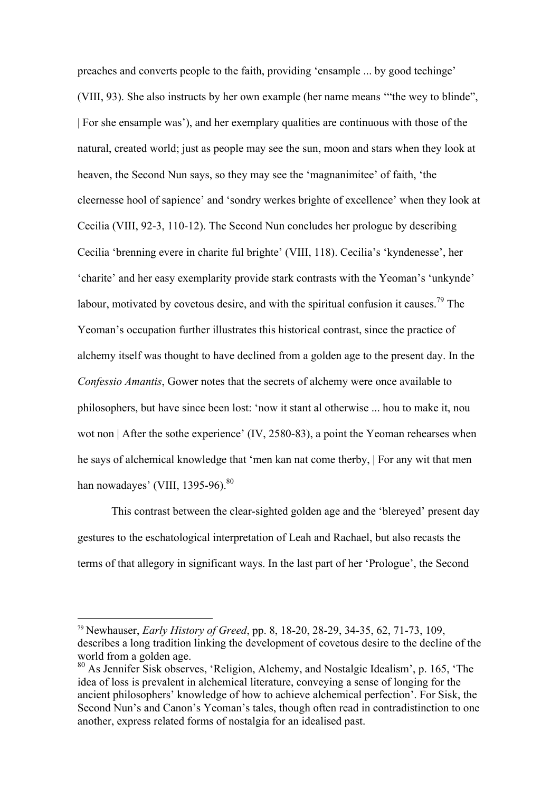preaches and converts people to the faith, providing 'ensample ... by good techinge' (VIII, 93). She also instructs by her own example (her name means '"the wey to blinde", | For she ensample was'), and her exemplary qualities are continuous with those of the natural, created world; just as people may see the sun, moon and stars when they look at heaven, the Second Nun says, so they may see the 'magnanimitee' of faith, 'the cleernesse hool of sapience' and 'sondry werkes brighte of excellence' when they look at Cecilia (VIII, 92-3, 110-12). The Second Nun concludes her prologue by describing Cecilia 'brenning evere in charite ful brighte' (VIII, 118). Cecilia's 'kyndenesse', her 'charite' and her easy exemplarity provide stark contrasts with the Yeoman's 'unkynde' labour, motivated by covetous desire, and with the spiritual confusion it causes.<sup>79</sup> The Yeoman's occupation further illustrates this historical contrast, since the practice of alchemy itself was thought to have declined from a golden age to the present day. In the *Confessio Amantis*, Gower notes that the secrets of alchemy were once available to philosophers, but have since been lost: 'now it stant al otherwise ... hou to make it, nou wot non | After the sothe experience' (IV, 2580-83), a point the Yeoman rehearses when he says of alchemical knowledge that 'men kan nat come therby, | For any wit that men han nowadayes' (VIII, 1395-96).<sup>80</sup>

This contrast between the clear-sighted golden age and the 'blereyed' present day gestures to the eschatological interpretation of Leah and Rachael, but also recasts the terms of that allegory in significant ways. In the last part of her 'Prologue', the Second

 <sup>79</sup> Newhauser, *Early History of Greed*, pp. 8, 18-20, 28-29, 34-35, 62, 71-73, 109, describes a long tradition linking the development of covetous desire to the decline of the world from a golden age.

<sup>80</sup> As Jennifer Sisk observes, 'Religion, Alchemy, and Nostalgic Idealism', p. 165, 'The idea of loss is prevalent in alchemical literature, conveying a sense of longing for the ancient philosophers' knowledge of how to achieve alchemical perfection'. For Sisk, the Second Nun's and Canon's Yeoman's tales, though often read in contradistinction to one another, express related forms of nostalgia for an idealised past.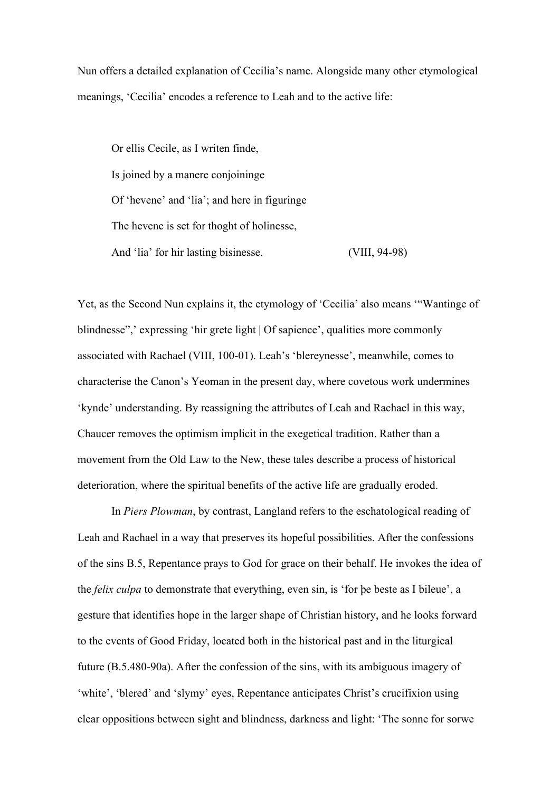Nun offers a detailed explanation of Cecilia's name. Alongside many other etymological meanings, 'Cecilia' encodes a reference to Leah and to the active life:

Or ellis Cecile, as I writen finde, Is joined by a manere conjoininge Of 'hevene' and 'lia'; and here in figuringe The hevene is set for thoght of holinesse, And 'lia' for hir lasting bisinesse. (VIII, 94-98)

Yet, as the Second Nun explains it, the etymology of 'Cecilia' also means '"Wantinge of blindnesse",' expressing 'hir grete light | Of sapience', qualities more commonly associated with Rachael (VIII, 100-01). Leah's 'blereynesse', meanwhile, comes to characterise the Canon's Yeoman in the present day, where covetous work undermines 'kynde' understanding. By reassigning the attributes of Leah and Rachael in this way, Chaucer removes the optimism implicit in the exegetical tradition. Rather than a movement from the Old Law to the New, these tales describe a process of historical deterioration, where the spiritual benefits of the active life are gradually eroded.

In *Piers Plowman*, by contrast, Langland refers to the eschatological reading of Leah and Rachael in a way that preserves its hopeful possibilities. After the confessions of the sins B.5, Repentance prays to God for grace on their behalf. He invokes the idea of the *felix culpa* to demonstrate that everything, even sin, is 'for þe beste as I bileue', a gesture that identifies hope in the larger shape of Christian history, and he looks forward to the events of Good Friday, located both in the historical past and in the liturgical future (B.5.480-90a). After the confession of the sins, with its ambiguous imagery of 'white', 'blered' and 'slymy' eyes, Repentance anticipates Christ's crucifixion using clear oppositions between sight and blindness, darkness and light: 'The sonne for sorwe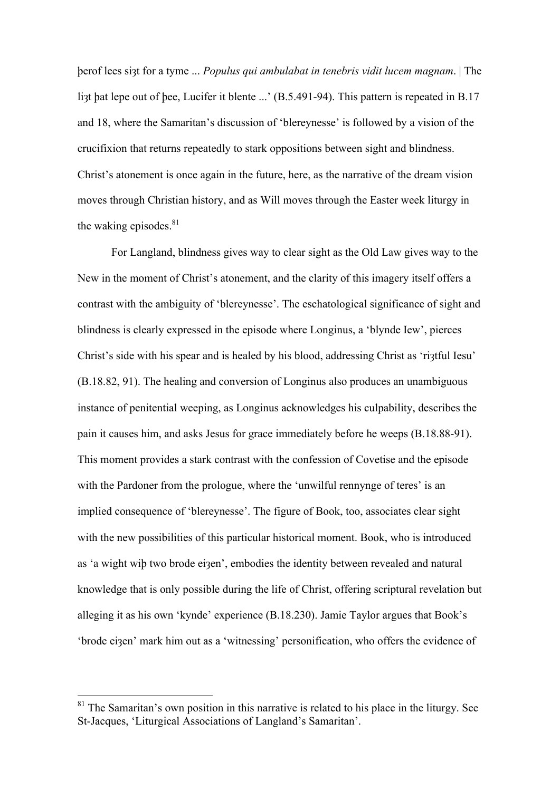þerof lees siȝt for a tyme ... *Populus qui ambulabat in tenebris vidit lucem magnam*. | The list bat lepe out of bee, Lucifer it blente ...' (B.5.491-94). This pattern is repeated in B.17 and 18, where the Samaritan's discussion of 'blereynesse' is followed by a vision of the crucifixion that returns repeatedly to stark oppositions between sight and blindness. Christ's atonement is once again in the future, here, as the narrative of the dream vision moves through Christian history, and as Will moves through the Easter week liturgy in the waking episodes. $81$ 

For Langland, blindness gives way to clear sight as the Old Law gives way to the New in the moment of Christ's atonement, and the clarity of this imagery itself offers a contrast with the ambiguity of 'blereynesse'. The eschatological significance of sight and blindness is clearly expressed in the episode where Longinus, a 'blynde Iew', pierces Christ's side with his spear and is healed by his blood, addressing Christ as 'riatful Iesu' (B.18.82, 91). The healing and conversion of Longinus also produces an unambiguous instance of penitential weeping, as Longinus acknowledges his culpability, describes the pain it causes him, and asks Jesus for grace immediately before he weeps (B.18.88-91). This moment provides a stark contrast with the confession of Covetise and the episode with the Pardoner from the prologue, where the 'unwilful rennynge of teres' is an implied consequence of 'blereynesse'. The figure of Book, too, associates clear sight with the new possibilities of this particular historical moment. Book, who is introduced as 'a wight wiþ two brode eiȝen', embodies the identity between revealed and natural knowledge that is only possible during the life of Christ, offering scriptural revelation but alleging it as his own 'kynde' experience (B.18.230). Jamie Taylor argues that Book's 'brode eiȝen' mark him out as a 'witnessing' personification, who offers the evidence of

 $81$  The Samaritan's own position in this narrative is related to his place in the liturgy. See St-Jacques, 'Liturgical Associations of Langland's Samaritan'.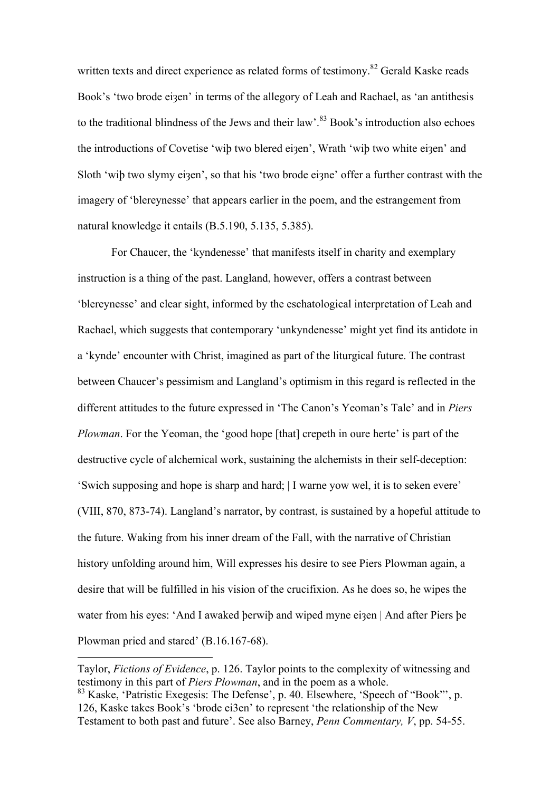written texts and direct experience as related forms of testimony.<sup>82</sup> Gerald Kaske reads Book's 'two brode eizen' in terms of the allegory of Leah and Rachael, as 'an antithesis to the traditional blindness of the Jews and their law'.<sup>83</sup> Book's introduction also echoes the introductions of Covetise 'wiþ two blered eiȝen', Wrath 'wiþ two white eiȝen' and Sloth 'wib two slymy eizen', so that his 'two brode eizne' offer a further contrast with the imagery of 'blereynesse' that appears earlier in the poem, and the estrangement from natural knowledge it entails (B.5.190, 5.135, 5.385).

For Chaucer, the 'kyndenesse' that manifests itself in charity and exemplary instruction is a thing of the past. Langland, however, offers a contrast between 'blereynesse' and clear sight, informed by the eschatological interpretation of Leah and Rachael, which suggests that contemporary 'unkyndenesse' might yet find its antidote in a 'kynde' encounter with Christ, imagined as part of the liturgical future. The contrast between Chaucer's pessimism and Langland's optimism in this regard is reflected in the different attitudes to the future expressed in 'The Canon's Yeoman's Tale' and in *Piers Plowman*. For the Yeoman, the 'good hope [that] crepeth in oure herte' is part of the destructive cycle of alchemical work, sustaining the alchemists in their self-deception: 'Swich supposing and hope is sharp and hard; | I warne yow wel, it is to seken evere' (VIII, 870, 873-74). Langland's narrator, by contrast, is sustained by a hopeful attitude to the future. Waking from his inner dream of the Fall, with the narrative of Christian history unfolding around him, Will expresses his desire to see Piers Plowman again, a desire that will be fulfilled in his vision of the crucifixion. As he does so, he wipes the water from his eyes: 'And I awaked berwip and wiped myne ei $\alpha$ en | And after Piers be Plowman pried and stared' (B.16.167-68).

 $\overline{a}$ 

Taylor, *Fictions of Evidence*, p. 126. Taylor points to the complexity of witnessing and testimony in this part of *Piers Plowman*, and in the poem as a whole.

<sup>83</sup> Kaske, 'Patristic Exegesis: The Defense', p. 40. Elsewhere, 'Speech of "Book"', p. 126, Kaske takes Book's 'brode ei3en' to represent 'the relationship of the New Testament to both past and future'. See also Barney, *Penn Commentary, V*, pp. 54-55.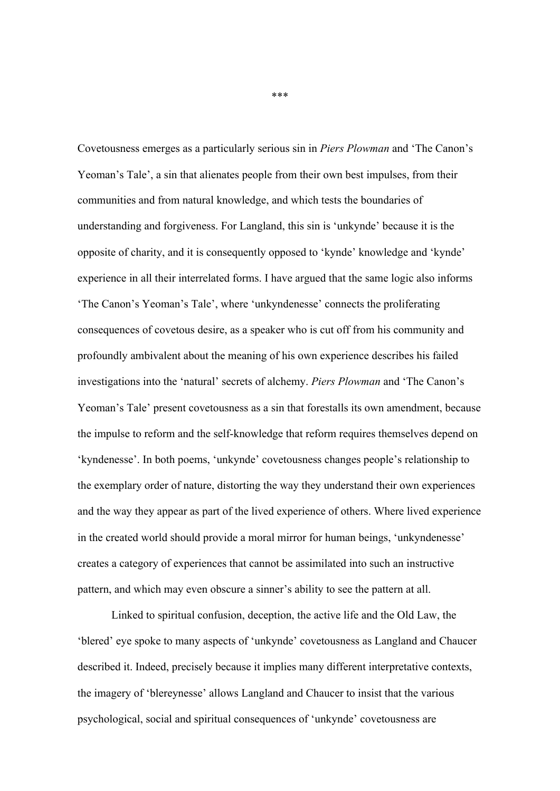Covetousness emerges as a particularly serious sin in *Piers Plowman* and 'The Canon's Yeoman's Tale', a sin that alienates people from their own best impulses, from their communities and from natural knowledge, and which tests the boundaries of understanding and forgiveness. For Langland, this sin is 'unkynde' because it is the opposite of charity, and it is consequently opposed to 'kynde' knowledge and 'kynde' experience in all their interrelated forms. I have argued that the same logic also informs 'The Canon's Yeoman's Tale', where 'unkyndenesse' connects the proliferating consequences of covetous desire, as a speaker who is cut off from his community and profoundly ambivalent about the meaning of his own experience describes his failed investigations into the 'natural' secrets of alchemy. *Piers Plowman* and 'The Canon's Yeoman's Tale' present covetousness as a sin that forestalls its own amendment, because the impulse to reform and the self-knowledge that reform requires themselves depend on 'kyndenesse'. In both poems, 'unkynde' covetousness changes people's relationship to the exemplary order of nature, distorting the way they understand their own experiences and the way they appear as part of the lived experience of others. Where lived experience in the created world should provide a moral mirror for human beings, 'unkyndenesse' creates a category of experiences that cannot be assimilated into such an instructive pattern, and which may even obscure a sinner's ability to see the pattern at all.

Linked to spiritual confusion, deception, the active life and the Old Law, the 'blered' eye spoke to many aspects of 'unkynde' covetousness as Langland and Chaucer described it. Indeed, precisely because it implies many different interpretative contexts, the imagery of 'blereynesse' allows Langland and Chaucer to insist that the various psychological, social and spiritual consequences of 'unkynde' covetousness are

\*\*\*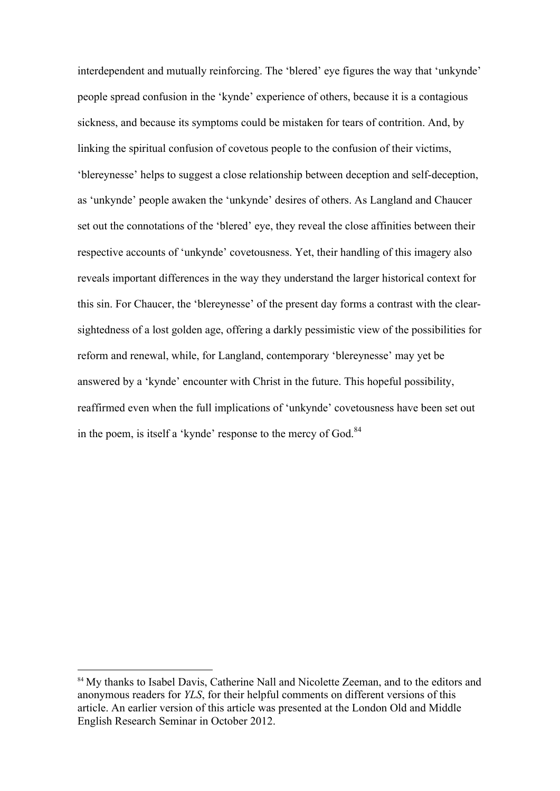interdependent and mutually reinforcing. The 'blered' eye figures the way that 'unkynde' people spread confusion in the 'kynde' experience of others, because it is a contagious sickness, and because its symptoms could be mistaken for tears of contrition. And, by linking the spiritual confusion of covetous people to the confusion of their victims, 'blereynesse' helps to suggest a close relationship between deception and self-deception, as 'unkynde' people awaken the 'unkynde' desires of others. As Langland and Chaucer set out the connotations of the 'blered' eye, they reveal the close affinities between their respective accounts of 'unkynde' covetousness. Yet, their handling of this imagery also reveals important differences in the way they understand the larger historical context for this sin. For Chaucer, the 'blereynesse' of the present day forms a contrast with the clearsightedness of a lost golden age, offering a darkly pessimistic view of the possibilities for reform and renewal, while, for Langland, contemporary 'blereynesse' may yet be answered by a 'kynde' encounter with Christ in the future. This hopeful possibility, reaffirmed even when the full implications of 'unkynde' covetousness have been set out in the poem, is itself a 'kynde' response to the mercy of God. $84$ 

<sup>&</sup>lt;sup>84</sup> My thanks to Isabel Davis, Catherine Nall and Nicolette Zeeman, and to the editors and anonymous readers for *YLS*, for their helpful comments on different versions of this article. An earlier version of this article was presented at the London Old and Middle English Research Seminar in October 2012.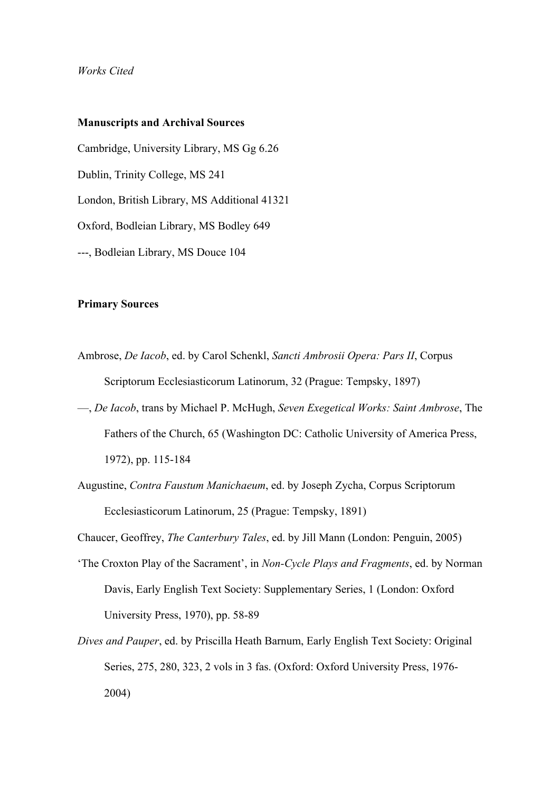#### *Works Cited*

## **Manuscripts and Archival Sources**

Cambridge, University Library, MS Gg 6.26 Dublin, Trinity College, MS 241 London, British Library, MS Additional 41321 Oxford, Bodleian Library, MS Bodley 649 ---, Bodleian Library, MS Douce 104

## **Primary Sources**

- Ambrose, *De Iacob*, ed. by Carol Schenkl, *Sancti Ambrosii Opera: Pars II*, Corpus Scriptorum Ecclesiasticorum Latinorum, 32 (Prague: Tempsky, 1897)
- —, *De Iacob*, trans by Michael P. McHugh, *Seven Exegetical Works: Saint Ambrose*, The Fathers of the Church, 65 (Washington DC: Catholic University of America Press, 1972), pp. 115-184
- Augustine, *Contra Faustum Manichaeum*, ed. by Joseph Zycha, Corpus Scriptorum Ecclesiasticorum Latinorum, 25 (Prague: Tempsky, 1891)

Chaucer, Geoffrey, *The Canterbury Tales*, ed. by Jill Mann (London: Penguin, 2005)

- 'The Croxton Play of the Sacrament', in *Non-Cycle Plays and Fragments*, ed. by Norman Davis, Early English Text Society: Supplementary Series, 1 (London: Oxford University Press, 1970), pp. 58-89
- *Dives and Pauper*, ed. by Priscilla Heath Barnum, Early English Text Society: Original Series, 275, 280, 323, 2 vols in 3 fas. (Oxford: Oxford University Press, 1976- 2004)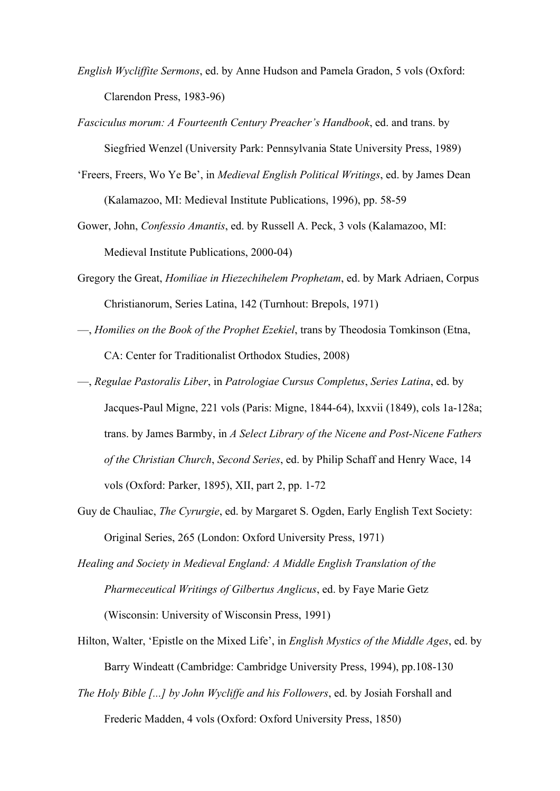- *English Wycliffite Sermons*, ed. by Anne Hudson and Pamela Gradon, 5 vols (Oxford: Clarendon Press, 1983-96)
- *Fasciculus morum: A Fourteenth Century Preacher's Handbook*, ed. and trans. by Siegfried Wenzel (University Park: Pennsylvania State University Press, 1989)
- 'Freers, Freers, Wo Ye Be', in *Medieval English Political Writings*, ed. by James Dean (Kalamazoo, MI: Medieval Institute Publications, 1996), pp. 58-59
- Gower, John, *Confessio Amantis*, ed. by Russell A. Peck, 3 vols (Kalamazoo, MI: Medieval Institute Publications, 2000-04)
- Gregory the Great, *Homiliae in Hiezechihelem Prophetam*, ed. by Mark Adriaen, Corpus Christianorum, Series Latina, 142 (Turnhout: Brepols, 1971)
- —, *Homilies on the Book of the Prophet Ezekiel*, trans by Theodosia Tomkinson (Etna, CA: Center for Traditionalist Orthodox Studies, 2008)
- —, *Regulae Pastoralis Liber*, in *Patrologiae Cursus Completus*, *Series Latina*, ed. by Jacques-Paul Migne, 221 vols (Paris: Migne, 1844-64), lxxvii (1849), cols 1a-128a; trans. by James Barmby, in *A Select Library of the Nicene and Post-Nicene Fathers of the Christian Church*, *Second Series*, ed. by Philip Schaff and Henry Wace, 14 vols (Oxford: Parker, 1895), XII, part 2, pp. 1-72
- Guy de Chauliac, *The Cyrurgie*, ed. by Margaret S. Ogden, Early English Text Society: Original Series, 265 (London: Oxford University Press, 1971)
- *Healing and Society in Medieval England: A Middle English Translation of the Pharmeceutical Writings of Gilbertus Anglicus*, ed. by Faye Marie Getz (Wisconsin: University of Wisconsin Press, 1991)
- Hilton, Walter, 'Epistle on the Mixed Life', in *English Mystics of the Middle Ages*, ed. by Barry Windeatt (Cambridge: Cambridge University Press, 1994), pp.108-130
- *The Holy Bible [...] by John Wycliffe and his Followers*, ed. by Josiah Forshall and Frederic Madden, 4 vols (Oxford: Oxford University Press, 1850)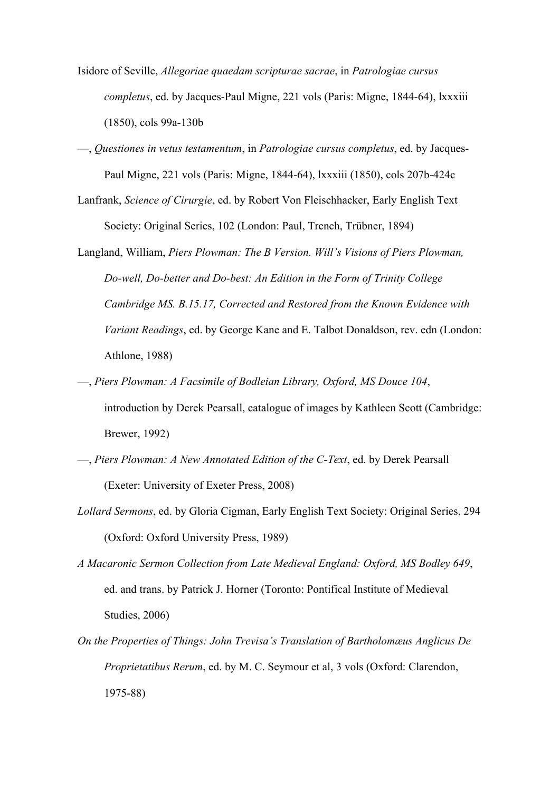- Isidore of Seville, *Allegoriae quaedam scripturae sacrae*, in *Patrologiae cursus completus*, ed. by Jacques-Paul Migne, 221 vols (Paris: Migne, 1844-64), lxxxiii (1850), cols 99a-130b
- —, *Questiones in vetus testamentum*, in *Patrologiae cursus completus*, ed. by Jacques-Paul Migne, 221 vols (Paris: Migne, 1844-64), lxxxiii (1850), cols 207b-424c
- Lanfrank, *Science of Cirurgie*, ed. by Robert Von Fleischhacker, Early English Text Society: Original Series, 102 (London: Paul, Trench, Trübner, 1894)
- Langland, William, *Piers Plowman: The B Version. Will's Visions of Piers Plowman, Do-well, Do-better and Do-best: An Edition in the Form of Trinity College Cambridge MS. B.15.17, Corrected and Restored from the Known Evidence with Variant Readings*, ed. by George Kane and E. Talbot Donaldson, rev. edn (London: Athlone, 1988)
- —, *Piers Plowman: A Facsimile of Bodleian Library, Oxford, MS Douce 104*, introduction by Derek Pearsall, catalogue of images by Kathleen Scott (Cambridge: Brewer, 1992)
- —, *Piers Plowman: A New Annotated Edition of the C-Text*, ed. by Derek Pearsall (Exeter: University of Exeter Press, 2008)
- *Lollard Sermons*, ed. by Gloria Cigman, Early English Text Society: Original Series, 294 (Oxford: Oxford University Press, 1989)
- *A Macaronic Sermon Collection from Late Medieval England: Oxford, MS Bodley 649*, ed. and trans. by Patrick J. Horner (Toronto: Pontifical Institute of Medieval Studies, 2006)
- *On the Properties of Things: John Trevisa's Translation of Bartholomæus Anglicus De Proprietatibus Rerum*, ed. by M. C. Seymour et al, 3 vols (Oxford: Clarendon, 1975-88)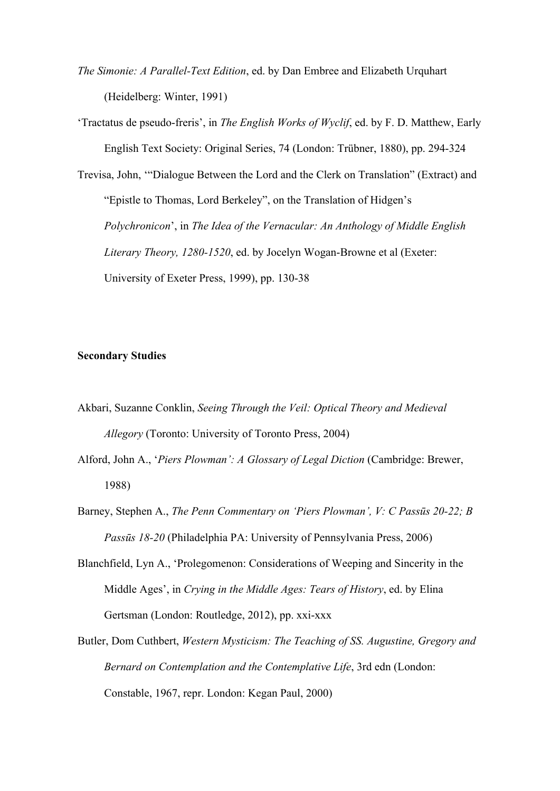- *The Simonie: A Parallel-Text Edition*, ed. by Dan Embree and Elizabeth Urquhart (Heidelberg: Winter, 1991)
- 'Tractatus de pseudo-freris', in *The English Works of Wyclif*, ed. by F. D. Matthew, Early English Text Society: Original Series, 74 (London: Trübner, 1880), pp. 294-324

Trevisa, John, '"Dialogue Between the Lord and the Clerk on Translation" (Extract) and "Epistle to Thomas, Lord Berkeley", on the Translation of Hidgen's *Polychronicon*', in *The Idea of the Vernacular: An Anthology of Middle English Literary Theory, 1280-1520*, ed. by Jocelyn Wogan-Browne et al (Exeter: University of Exeter Press, 1999), pp. 130-38

# **Secondary Studies**

- Akbari, Suzanne Conklin, *Seeing Through the Veil: Optical Theory and Medieval Allegory* (Toronto: University of Toronto Press, 2004)
- Alford, John A., '*Piers Plowman': A Glossary of Legal Diction* (Cambridge: Brewer, 1988)
- Barney, Stephen A., *The Penn Commentary on 'Piers Plowman', V: C Passūs 20-22; B Passūs 18-20* (Philadelphia PA: University of Pennsylvania Press, 2006)
- Blanchfield, Lyn A., 'Prolegomenon: Considerations of Weeping and Sincerity in the Middle Ages', in *Crying in the Middle Ages: Tears of History*, ed. by Elina Gertsman (London: Routledge, 2012), pp. xxi-xxx
- Butler, Dom Cuthbert, *Western Mysticism: The Teaching of SS. Augustine, Gregory and Bernard on Contemplation and the Contemplative Life*, 3rd edn (London: Constable, 1967, repr. London: Kegan Paul, 2000)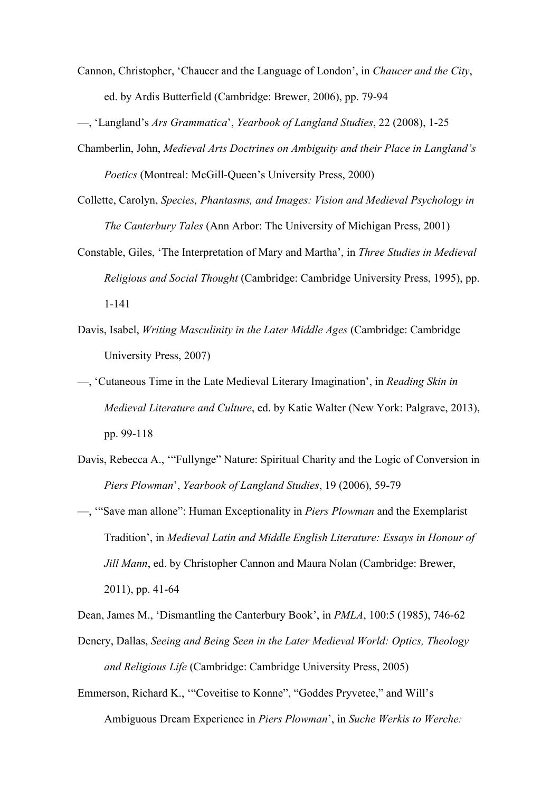- Cannon, Christopher, 'Chaucer and the Language of London', in *Chaucer and the City*, ed. by Ardis Butterfield (Cambridge: Brewer, 2006), pp. 79-94
- —, 'Langland's *Ars Grammatica*', *Yearbook of Langland Studies*, 22 (2008), 1-25
- Chamberlin, John, *Medieval Arts Doctrines on Ambiguity and their Place in Langland's Poetics* (Montreal: McGill-Queen's University Press, 2000)
- Collette, Carolyn, *Species, Phantasms, and Images: Vision and Medieval Psychology in The Canterbury Tales* (Ann Arbor: The University of Michigan Press, 2001)
- Constable, Giles, 'The Interpretation of Mary and Martha', in *Three Studies in Medieval Religious and Social Thought* (Cambridge: Cambridge University Press, 1995), pp. 1-141
- Davis, Isabel, *Writing Masculinity in the Later Middle Ages* (Cambridge: Cambridge University Press, 2007)
- —, 'Cutaneous Time in the Late Medieval Literary Imagination', in *Reading Skin in Medieval Literature and Culture*, ed. by Katie Walter (New York: Palgrave, 2013), pp. 99-118
- Davis, Rebecca A., '"Fullynge" Nature: Spiritual Charity and the Logic of Conversion in *Piers Plowman*', *Yearbook of Langland Studies*, 19 (2006), 59-79
- —, '"Save man allone": Human Exceptionality in *Piers Plowman* and the Exemplarist Tradition', in *Medieval Latin and Middle English Literature: Essays in Honour of Jill Mann*, ed. by Christopher Cannon and Maura Nolan (Cambridge: Brewer, 2011), pp. 41-64

Dean, James M., 'Dismantling the Canterbury Book', in *PMLA*, 100:5 (1985), 746-62 Denery, Dallas, *Seeing and Being Seen in the Later Medieval World: Optics, Theology and Religious Life* (Cambridge: Cambridge University Press, 2005)

Emmerson, Richard K., '"Coveitise to Konne", "Goddes Pryvetee," and Will's Ambiguous Dream Experience in *Piers Plowman*', in *Suche Werkis to Werche:*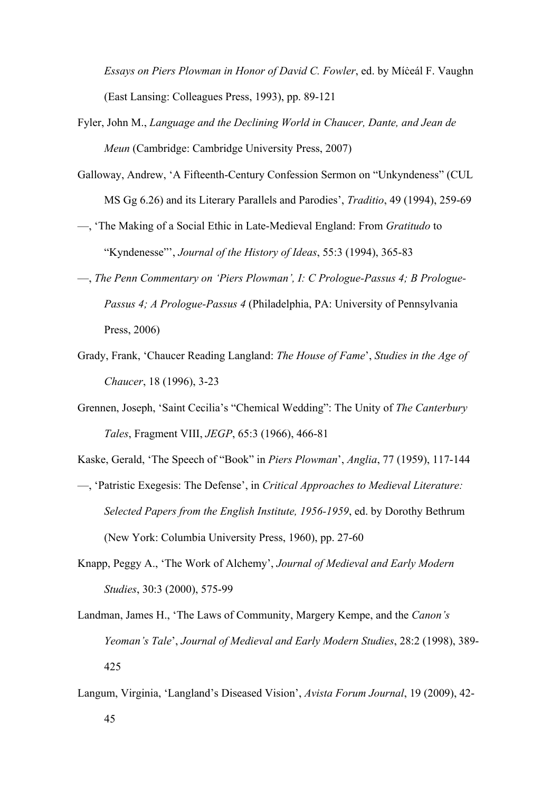*Essays on Piers Plowman in Honor of David C. Fowler*, ed. by Míċeál F. Vaughn (East Lansing: Colleagues Press, 1993), pp. 89-121

- Fyler, John M., *Language and the Declining World in Chaucer, Dante, and Jean de Meun* (Cambridge: Cambridge University Press, 2007)
- Galloway, Andrew, 'A Fifteenth-Century Confession Sermon on "Unkyndeness" (CUL MS Gg 6.26) and its Literary Parallels and Parodies', *Traditio*, 49 (1994), 259-69
- —, 'The Making of a Social Ethic in Late-Medieval England: From *Gratitudo* to "Kyndenesse"', *Journal of the History of Ideas*, 55:3 (1994), 365-83
- —, *The Penn Commentary on 'Piers Plowman', I: C Prologue-Passus 4; B Prologue-Passus 4; A Prologue-Passus 4* (Philadelphia, PA: University of Pennsylvania Press, 2006)
- Grady, Frank, 'Chaucer Reading Langland: *The House of Fame*', *Studies in the Age of Chaucer*, 18 (1996), 3-23
- Grennen, Joseph, 'Saint Cecilia's "Chemical Wedding": The Unity of *The Canterbury Tales*, Fragment VIII, *JEGP*, 65:3 (1966), 466-81
- Kaske, Gerald, 'The Speech of "Book" in *Piers Plowman*', *Anglia*, 77 (1959), 117-144
- —, 'Patristic Exegesis: The Defense', in *Critical Approaches to Medieval Literature: Selected Papers from the English Institute, 1956-1959*, ed. by Dorothy Bethrum (New York: Columbia University Press, 1960), pp. 27-60
- Knapp, Peggy A., 'The Work of Alchemy', *Journal of Medieval and Early Modern Studies*, 30:3 (2000), 575-99
- Landman, James H., 'The Laws of Community, Margery Kempe, and the *Canon's Yeoman's Tale*', *Journal of Medieval and Early Modern Studies*, 28:2 (1998), 389- 425
- Langum, Virginia, 'Langland's Diseased Vision', *Avista Forum Journal*, 19 (2009), 42-
	- 45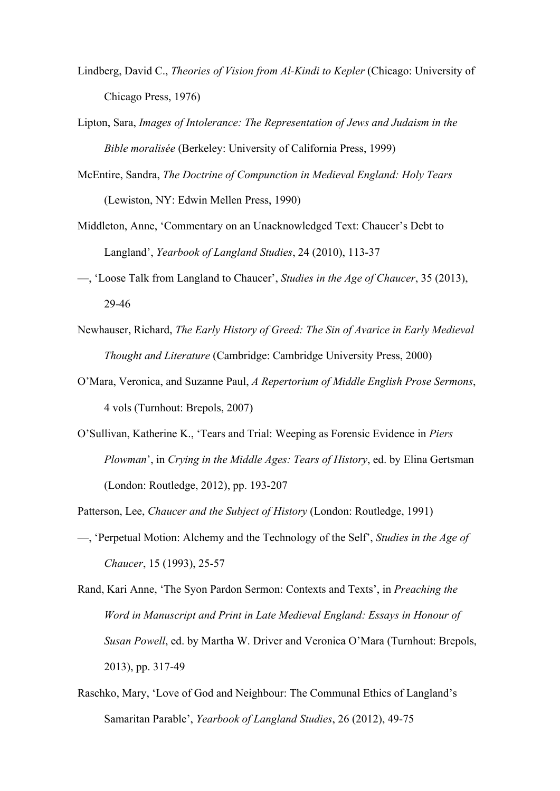- Lindberg, David C., *Theories of Vision from Al-Kindi to Kepler* (Chicago: University of Chicago Press, 1976)
- Lipton, Sara, *Images of Intolerance: The Representation of Jews and Judaism in the Bible moralisée* (Berkeley: University of California Press, 1999)
- McEntire, Sandra, *The Doctrine of Compunction in Medieval England: Holy Tears* (Lewiston, NY: Edwin Mellen Press, 1990)
- Middleton, Anne, 'Commentary on an Unacknowledged Text: Chaucer's Debt to Langland', *Yearbook of Langland Studies*, 24 (2010), 113-37
- —, 'Loose Talk from Langland to Chaucer', *Studies in the Age of Chaucer*, 35 (2013), 29-46
- Newhauser, Richard, *The Early History of Greed: The Sin of Avarice in Early Medieval Thought and Literature* (Cambridge: Cambridge University Press, 2000)
- O'Mara, Veronica, and Suzanne Paul, *A Repertorium of Middle English Prose Sermons*, 4 vols (Turnhout: Brepols, 2007)
- O'Sullivan, Katherine K., 'Tears and Trial: Weeping as Forensic Evidence in *Piers Plowman*', in *Crying in the Middle Ages: Tears of History*, ed. by Elina Gertsman (London: Routledge, 2012), pp. 193-207

Patterson, Lee, *Chaucer and the Subject of History* (London: Routledge, 1991)

- —, 'Perpetual Motion: Alchemy and the Technology of the Self', *Studies in the Age of Chaucer*, 15 (1993), 25-57
- Rand, Kari Anne, 'The Syon Pardon Sermon: Contexts and Texts', in *Preaching the Word in Manuscript and Print in Late Medieval England: Essays in Honour of Susan Powell*, ed. by Martha W. Driver and Veronica O'Mara (Turnhout: Brepols, 2013), pp. 317-49
- Raschko, Mary, 'Love of God and Neighbour: The Communal Ethics of Langland's Samaritan Parable', *Yearbook of Langland Studies*, 26 (2012), 49-75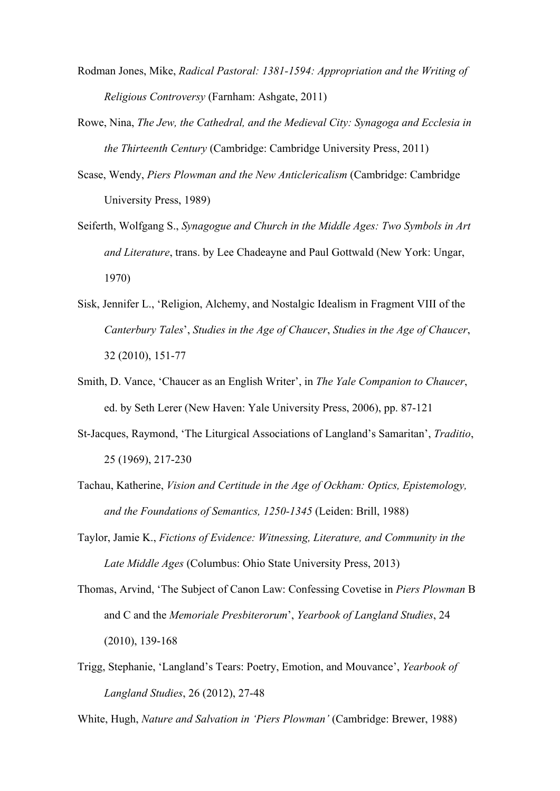- Rodman Jones, Mike, *Radical Pastoral: 1381-1594: Appropriation and the Writing of Religious Controversy* (Farnham: Ashgate, 2011)
- Rowe, Nina, *The Jew, the Cathedral, and the Medieval City: Synagoga and Ecclesia in the Thirteenth Century* (Cambridge: Cambridge University Press, 2011)
- Scase, Wendy, *Piers Plowman and the New Anticlericalism* (Cambridge: Cambridge University Press, 1989)
- Seiferth, Wolfgang S., *Synagogue and Church in the Middle Ages: Two Symbols in Art and Literature*, trans. by Lee Chadeayne and Paul Gottwald (New York: Ungar, 1970)
- Sisk, Jennifer L., 'Religion, Alchemy, and Nostalgic Idealism in Fragment VIII of the *Canterbury Tales*', *Studies in the Age of Chaucer*, *Studies in the Age of Chaucer*, 32 (2010), 151-77
- Smith, D. Vance, 'Chaucer as an English Writer', in *The Yale Companion to Chaucer*, ed. by Seth Lerer (New Haven: Yale University Press, 2006), pp. 87-121
- St-Jacques, Raymond, 'The Liturgical Associations of Langland's Samaritan', *Traditio*, 25 (1969), 217-230
- Tachau, Katherine, *Vision and Certitude in the Age of Ockham: Optics, Epistemology, and the Foundations of Semantics, 1250-1345* (Leiden: Brill, 1988)
- Taylor, Jamie K., *Fictions of Evidence: Witnessing, Literature, and Community in the Late Middle Ages* (Columbus: Ohio State University Press, 2013)
- Thomas, Arvind, 'The Subject of Canon Law: Confessing Covetise in *Piers Plowman* B and C and the *Memoriale Presbiterorum*', *Yearbook of Langland Studies*, 24 (2010), 139-168
- Trigg, Stephanie, 'Langland's Tears: Poetry, Emotion, and Mouvance', *Yearbook of Langland Studies*, 26 (2012), 27-48

White, Hugh, *Nature and Salvation in 'Piers Plowman'* (Cambridge: Brewer, 1988)